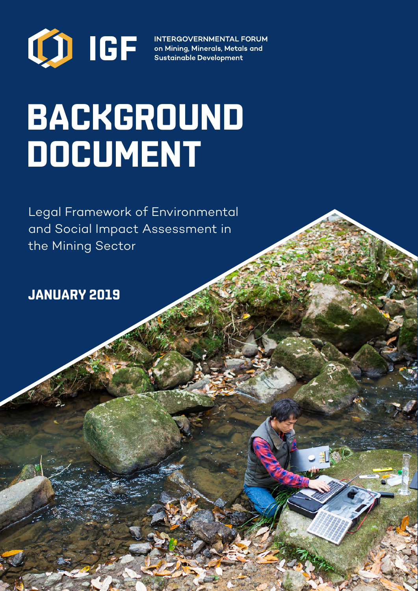

**INTERGOVERNMENTAL FORUM** on Mining, Minerals, Metals and **Sustainable Development** 

# **BACKGROUND DOCUMENT**

Legal Framework of Environmental and Social Impact Assessment in the Mining Sector

**JANUARY 2019**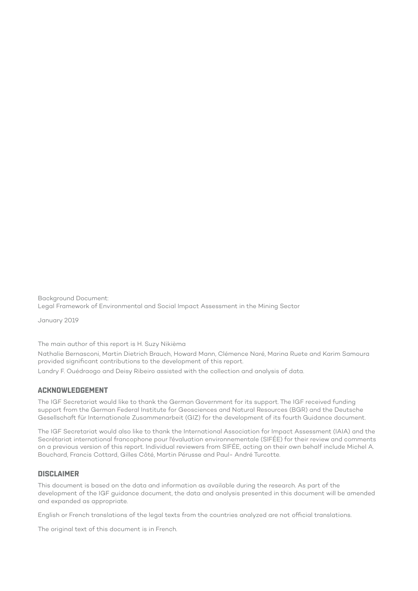Background Document: Legal Framework of Environmental and Social Impact Assessment in the Mining Sector

January 2019

The main author of this report is H. Suzy Nikièma

Nathalie Bernasconi, Martin Dietrich Brauch, Howard Mann, Clémence Naré, Marina Ruete and Karim Samoura provided significant contributions to the development of this report. Landry F. Ouédraogo and Deisy Ribeiro assisted with the collection and analysis of data.

#### **ACKNOWLEDGEMENT**

The IGF Secretariat would like to thank the German Government for its support. The IGF received funding support from the German Federal Institute for Geosciences and Natural Resources (BGR) and the Deutsche Gesellschaft für Internationale Zusammenarbeit (GIZ) for the development of its fourth Guidance document.

The IGF Secretariat would also like to thank the International Association for Impact Assessment (IAIA) and the Secrétariat international francophone pour l'évaluation environnementale (SIFÉE) for their review and comments on a previous version of this report. Individual reviewers from SIFÉE, acting on their own behalf include Michel A. Bouchard, Francis Cottard, Gilles Côté, Martin Pérusse and Paul- André Turcotte.

#### **DISCLAIMER**

This document is based on the data and information as available during the research. As part of the development of the IGF guidance document, the data and analysis presented in this document will be amended and expanded as appropriate.

English or French translations of the legal texts from the countries analyzed are not official translations.

The original text of this document is in French.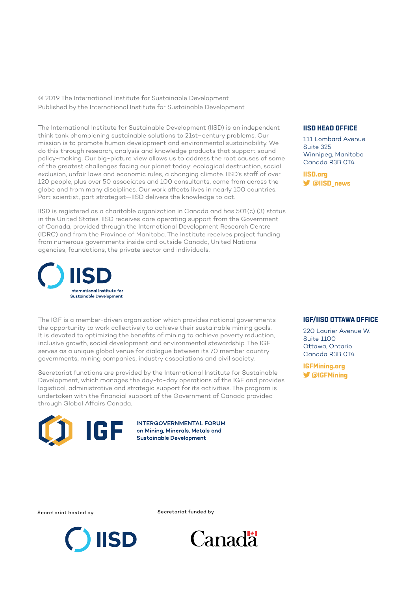© 2019 The International Institute for Sustainable Development Published by the International Institute for Sustainable Development

The International Institute for Sustainable Development (IISD) is an independent think tank championing sustainable solutions to 21st–century problems. Our mission is to promote human development and environmental sustainability. We do this through research, analysis and knowledge products that support sound policy-making. Our big-picture view allows us to address the root causes of some of the greatest challenges facing our planet today: ecological destruction, social exclusion, unfair laws and economic rules, a changing climate. IISD's staff of over 120 people, plus over 50 associates and 100 consultants, come from across the globe and from many disciplines. Our work affects lives in nearly 100 countries. Part scientist, part strategist—IISD delivers the knowledge to act.

IISD is registered as a charitable organization in Canada and has 501(c) (3) status in the United States. IISD receives core operating support from the Government of Canada, provided through the International Development Research Centre (IDRC) and from the Province of Manitoba. The Institute receives project funding from numerous governments inside and outside Canada, United Nations agencies, foundations, the private sector and individuals.



The IGF is a member-driven organization which provides national governments the opportunity to work collectively to achieve their sustainable mining goals. It is devoted to optimizing the benefits of mining to achieve poverty reduction, inclusive growth, social development and environmental stewardship. The IGF serves as a unique global venue for dialogue between its 70 member country governments, mining companies, industry associations and civil society.

Secretariat functions are provided by the International Institute for Sustainable Development, which manages the day-to-day operations of the IGF and provides logistical, administrative and strategic support for its activities. The program is undertaken with the financial support of the Government of Canada provided through Global Affairs Canada.



**INTERGOVERNMENTAL FORUM** on Mining, Minerals, Metals and Sustainable Development

#### **IISD HEAD OFFICE**

111 Lombard Avenue Suite 325 Winnipeg, Manitoba Canada R3B 0T4

**[IISD.org](http://IISD.org) @IISD\_news**

#### **IGF/IISD OTTAWA OFFICE**

220 Laurier Avenue W. Suite 1100 Ottawa, Ontario Canada R3B 0T4

**[IGFMining.org](http://IGFMining.org) @IGFMining**

Secretariat hosted by Secretariat funded by



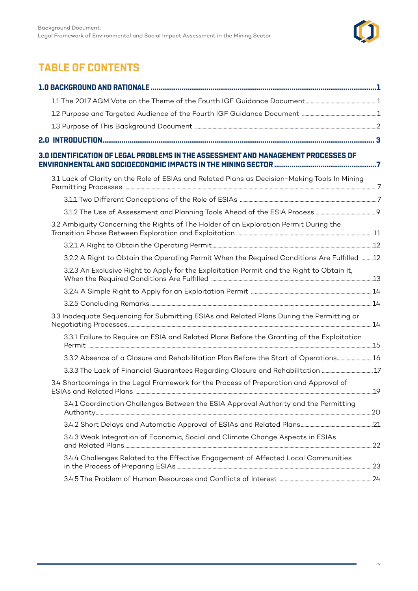

# **TABLE OF CONTENTS**

| 3.0 IDENTIFICATION OF LEGAL PROBLEMS IN THE ASSESSMENT AND MANAGEMENT PROCESSES OF<br>ENVIRONMENTAL AND SOCIOECONOMIC IMPACTS IN THE MINING SECTOR …………………………………………………7 |  |
|-------------------------------------------------------------------------------------------------------------------------------------------------------------------------|--|
| 3.1 Lack of Clarity on the Role of ESIAs and Related Plans as Decision-Making Tools In Mining                                                                           |  |
|                                                                                                                                                                         |  |
|                                                                                                                                                                         |  |
| 3.2 Ambiguity Concerning the Rights of The Holder of an Exploration Permit During the                                                                                   |  |
|                                                                                                                                                                         |  |
| 3.2.2 A Right to Obtain the Operating Permit When the Required Conditions Are Fulfilled 12                                                                              |  |
| 3.2.3 An Exclusive Right to Apply for the Exploitation Permit and the Right to Obtain It,                                                                               |  |
|                                                                                                                                                                         |  |
|                                                                                                                                                                         |  |
| 3.3 Inadequate Sequencing for Submitting ESIAs and Related Plans During the Permitting or                                                                               |  |
| 3.3.1 Failure to Require an ESIA and Related Plans Before the Granting of the Exploitation                                                                              |  |
| 3.3.2 Absence of a Closure and Rehabilitation Plan Before the Start of Operations 16                                                                                    |  |
|                                                                                                                                                                         |  |
| 3.4 Shortcomings in the Legal Framework for the Process of Preparation and Approval of                                                                                  |  |
| 3.4.1 Coordination Challenges Between the ESIA Approval Authority and the Permitting                                                                                    |  |
|                                                                                                                                                                         |  |
| 3.4.3 Weak Integration of Economic, Social and Climate Change Aspects in ESIAs                                                                                          |  |
| 3.4.4 Challenges Related to the Effective Engagement of Affected Local Communities                                                                                      |  |
|                                                                                                                                                                         |  |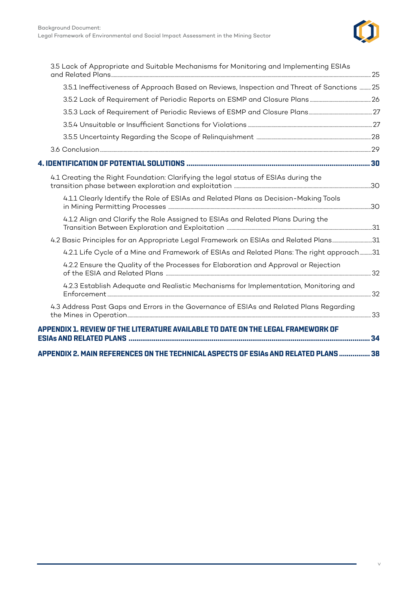

| 3.5 Lack of Appropriate and Suitable Mechanisms for Monitoring and Implementing ESIAs                                                        |    |
|----------------------------------------------------------------------------------------------------------------------------------------------|----|
| 3.5.1 Ineffectiveness of Approach Based on Reviews, Inspection and Threat of Sanctions  25                                                   |    |
|                                                                                                                                              |    |
|                                                                                                                                              |    |
|                                                                                                                                              |    |
|                                                                                                                                              |    |
|                                                                                                                                              |    |
|                                                                                                                                              |    |
| 4.1 Creating the Right Foundation: Clarifying the legal status of ESIAs during the                                                           |    |
| 4.1.1 Clearly Identify the Role of ESIAs and Related Plans as Decision-Making Tools                                                          |    |
| 4.1.2 Align and Clarify the Role Assigned to ESIAs and Related Plans During the                                                              |    |
| 4.2 Basic Principles for an Appropriate Legal Framework on ESIAs and Related Plans31                                                         |    |
| 4.2.1 Life Cycle of a Mine and Framework of ESIAs and Related Plans: The right approach31                                                    |    |
| 4.2.2 Ensure the Quality of the Processes for Elaboration and Approval or Rejection                                                          |    |
| 4.2.3 Establish Adequate and Realistic Mechanisms for Implementation, Monitoring and                                                         |    |
| 4.3 Address Past Gaps and Errors in the Governance of ESIAs and Related Plans Regarding                                                      | 33 |
| APPENDIX 1. REVIEW OF THE LITERATURE AVAILABLE TO DATE ON THE LEGAL FRAMEWORK OF<br>ESIAs AND RELATED PLANS …………………………………………………………………………………… | 34 |
| APPENDIX 2. MAIN REFERENCES ON THE TECHNICAL ASPECTS OF ESIAs AND RELATED PLANS ……………… 38                                                    |    |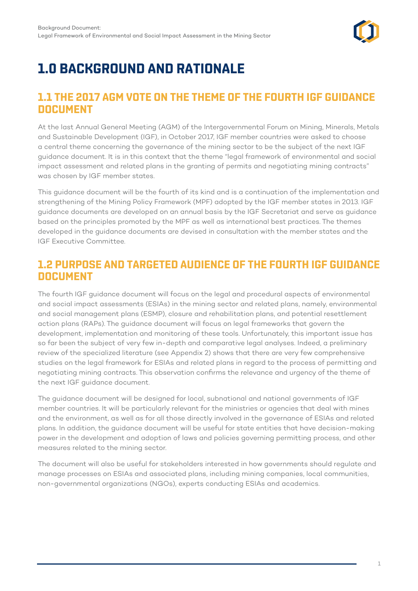

# <span id="page-5-0"></span>**1.0 BACKGROUND AND RATIONALE**

# **1.1 THE 2017 AGM VOTE ON THE THEME OF THE FOURTH IGF GUIDANCE DOCUMENT**

At the last Annual General Meeting (AGM) of the Intergovernmental Forum on Mining, Minerals, Metals and Sustainable Development (IGF), in October 2017, IGF member countries were asked to choose a central theme concerning the governance of the mining sector to be the subject of the next IGF guidance document. It is in this context that the theme "legal framework of environmental and social impact assessment and related plans in the granting of permits and negotiating mining contracts" was chosen by IGF member states.

This guidance document will be the fourth of its kind and is a continuation of the implementation and strengthening of the Mining Policy Framework (MPF) adopted by the IGF member states in 2013. IGF guidance documents are developed on an annual basis by the IGF Secretariat and serve as guidance based on the principles promoted by the MPF as well as international best practices. The themes developed in the guidance documents are devised in consultation with the member states and the IGF Executive Committee.

# **1.2 PURPOSE AND TARGETED AUDIENCE OF THE FOURTH IGF GUIDANCE DOCUMENT**

The fourth IGF guidance document will focus on the legal and procedural aspects of environmental and social impact assessments (ESIAs) in the mining sector and related plans, namely, environmental and social management plans (ESMP), closure and rehabilitation plans, and potential resettlement action plans (RAPs). The guidance document will focus on legal frameworks that govern the development, implementation and monitoring of these tools. Unfortunately, this important issue has so far been the subject of very few in-depth and comparative legal analyses. Indeed, a preliminary review of the specialized literature (see Appendix 2) shows that there are very few comprehensive studies on the legal framework for ESIAs and related plans in regard to the process of permitting and negotiating mining contracts. This observation confirms the relevance and urgency of the theme of the next IGF guidance document.

The guidance document will be designed for local, subnational and national governments of IGF member countries. It will be particularly relevant for the ministries or agencies that deal with mines and the environment, as well as for all those directly involved in the governance of ESIAs and related plans. In addition, the guidance document will be useful for state entities that have decision-making power in the development and adoption of laws and policies governing permitting process, and other measures related to the mining sector.

The document will also be useful for stakeholders interested in how governments should regulate and manage processes on ESIAs and associated plans, including mining companies, local communities, non-governmental organizations (NGOs), experts conducting ESIAs and academics.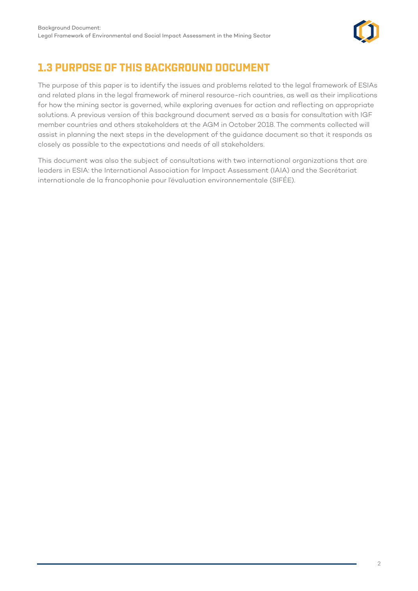

# <span id="page-6-0"></span>**1.3 PURPOSE OF THIS BACKGROUND DOCUMENT**

The purpose of this paper is to identify the issues and problems related to the legal framework of ESIAs and related plans in the legal framework of mineral resource-rich countries, as well as their implications for how the mining sector is governed, while exploring avenues for action and reflecting on appropriate solutions. A previous version of this background document served as a basis for consultation with IGF member countries and others stakeholders at the AGM in October 2018. The comments collected will assist in planning the next steps in the development of the guidance document so that it responds as closely as possible to the expectations and needs of all stakeholders.

This document was also the subject of consultations with two international organizations that are leaders in ESIA: the International Association for Impact Assessment (IAIA) and the Secrétariat internationale de la francophonie pour l'évaluation environnementale (SIFÉE).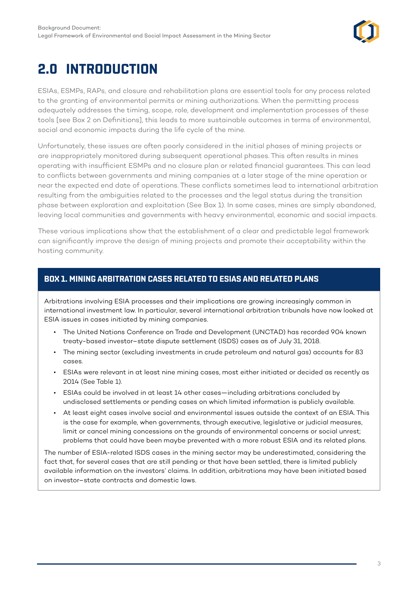

# <span id="page-7-0"></span>**2.0 INTRODUCTION**

ESIAs, ESMPs, RAPs, and closure and rehabilitation plans are essential tools for any process related to the granting of environmental permits or mining authorizations. When the permitting process adequately addresses the timing, scope, role, development and implementation processes of these tools [see Box 2 on Definitions], this leads to more sustainable outcomes in terms of environmental, social and economic impacts during the life cycle of the mine.

Unfortunately, these issues are often poorly considered in the initial phases of mining projects or are inappropriately monitored during subsequent operational phases. This often results in mines operating with insufficient ESMPs and no closure plan or related financial guarantees. This can lead to conflicts between governments and mining companies at a later stage of the mine operation or near the expected end date of operations. These conflicts sometimes lead to international arbitration resulting from the ambiguities related to the processes and the legal status during the transition phase between exploration and exploitation (See Box 1). In some cases, mines are simply abandoned, leaving local communities and governments with heavy environmental, economic and social impacts.

These various implications show that the establishment of a clear and predictable legal framework can significantly improve the design of mining projects and promote their acceptability within the hosting community.

#### **BOX 1. MINING ARBITRATION CASES RELATED TO ESIAS AND RELATED PLANS**

Arbitrations involving ESIA processes and their implications are growing increasingly common in international investment law. In particular, several international arbitration tribunals have now looked at ESIA issues in cases initiated by mining companies.

- The United Nations Conference on Trade and Development (UNCTAD) has recorded 904 known treaty-based investor–state dispute settlement (ISDS) cases as of July 31, 2018.
- The mining sector (excluding investments in crude petroleum and natural gas) accounts for 83 cases.
- ESIAs were relevant in at least nine mining cases, most either initiated or decided as recently as 2014 (See Table 1).
- ESIAs could be involved in at least 14 other cases—including arbitrations concluded by undisclosed settlements or pending cases on which limited information is publicly available.
- At least eight cases involve social and environmental issues outside the context of an ESIA. This is the case for example, when governments, through executive, legislative or judicial measures, limit or cancel mining concessions on the grounds of environmental concerns or social unrest; problems that could have been maybe prevented with a more robust ESIA and its related plans.

The number of ESIA-related ISDS cases in the mining sector may be underestimated, considering the fact that, for several cases that are still pending or that have been settled, there is limited publicly available information on the investors' claims. In addition, arbitrations may have been initiated based on investor–state contracts and domestic laws.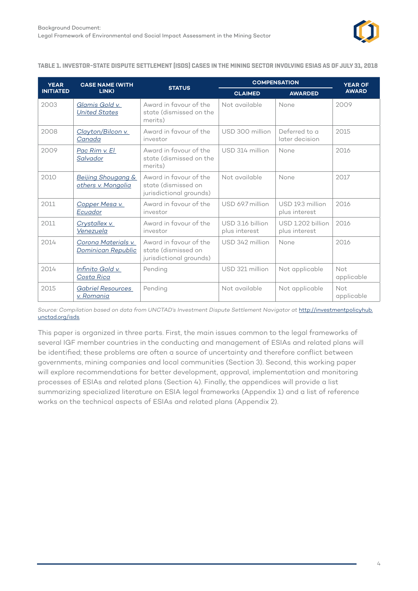

**TABLE 1. INVESTOR–STATE DISPUTE SETTLEMENT (ISDS) CASES IN THE MINING SECTOR INVOLVING ESIAS AS OF JULY 31, 2018**

| <b>YEAR</b>      | <b>CASE NAME (WITH</b>                              | <b>STATUS</b>                                                            | <b>COMPENSATION</b>               |                                    | <b>YEAR OF</b>    |  |
|------------------|-----------------------------------------------------|--------------------------------------------------------------------------|-----------------------------------|------------------------------------|-------------------|--|
| <b>INITIATED</b> | LINK)                                               |                                                                          | <b>CLAIMED</b>                    | <b>AWARDED</b>                     | <b>AWARD</b>      |  |
| 2003             | Glamis Gold v.<br><b>United States</b>              | Award in favour of the<br>state (dismissed on the<br>merits)             | Not available                     | None                               | 2009              |  |
| 2008             | Clayton/Bilcon v.<br>Canada                         | Award in favour of the<br>investor                                       | USD 300 million                   | Deferred to a<br>later decision    | 2015              |  |
| 2009             | Pac Rim v. El<br>Salvador                           | Award in favour of the<br>state (dismissed on the<br>merits)             | USD 314 million                   | None                               | 2016              |  |
| 2010             | <b>Beijing Shougang &amp;</b><br>others v. Mongolia | Award in favour of the<br>state (dismissed on<br>jurisdictional grounds) | Not available                     | None                               | 2017              |  |
| 2011             | Copper Mesa v.<br>Ecuador                           | Award in favour of the<br>investor                                       | USD 69.7 million                  | USD 19.3 million<br>plus interest  | 2016              |  |
| 2011             | <u>Crystallex v.</u><br>Venezuela                   | Award in favour of the<br>investor                                       | USD 3.16 billion<br>plus interest | USD 1.202 billion<br>plus interest | 2016              |  |
| 2014             | Corona Materials v.<br><b>Dominican Republic</b>    | Award in favour of the<br>state (dismissed on<br>jurisdictional grounds) | USD 342 million                   | None                               | 2016              |  |
| 2014             | Infinito Gold v.<br>Costa Rica                      | Pending                                                                  | USD 321 million                   | Not applicable                     | Not<br>applicable |  |
| 2015             | <b>Gabriel Resources</b><br>v. Romania              | Pending                                                                  | Not available                     | Not applicable                     | Not<br>applicable |  |

Source: Compilation based on data from UNCTAD's Investment Dispute Settlement Navigator at [http://investmentpolicyhub.](http://investmentpolicyhub.unctad.org/isds) [unctad.org/isds](http://investmentpolicyhub.unctad.org/isds)*.*

This paper is organized in three parts. First, the main issues common to the legal frameworks of several IGF member countries in the conducting and management of ESIAs and related plans will be identified; these problems are often a source of uncertainty and therefore conflict between governments, mining companies and local communities (Section 3). Second, this working paper will explore recommendations for better development, approval, implementation and monitoring processes of ESIAs and related plans (Section 4). Finally, the appendices will provide a list summarizing specialized literature on ESIA legal frameworks (Appendix 1) and a list of reference works on the technical aspects of ESIAs and related plans (Appendix 2).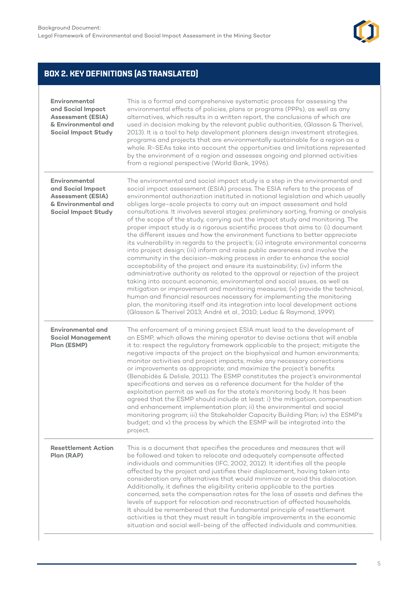

## **BOX 2. KEY DEFINITIONS (AS TRANSLATED)**

| Environmental<br>and Social Impact<br><b>Assessment (ESIA)</b><br>& Environmental and<br><b>Social Impact Study</b> | This is a formal and comprehensive systematic process for assessing the<br>environmental effects of policies, plans or programs (PPPs), as well as any<br>alternatives, which results in a written report, the conclusions of which are<br>used in decision making by the relevant public authorities, (Glasson & Therivel,<br>2013). It is a tool to help development planners design investment strategies,<br>programs and projects that are environmentally sustainable for a region as a<br>whole. R-SEAs take into account the opportunities and limitations represented<br>by the environment of a region and assesses ongoing and planned activities<br>from a regional perspective (World Bank, 1996).                                                                                                                                                                                                                                                                                                                                                                                                                                                                                                                                                                                                                                                                                                                                                                             |
|---------------------------------------------------------------------------------------------------------------------|---------------------------------------------------------------------------------------------------------------------------------------------------------------------------------------------------------------------------------------------------------------------------------------------------------------------------------------------------------------------------------------------------------------------------------------------------------------------------------------------------------------------------------------------------------------------------------------------------------------------------------------------------------------------------------------------------------------------------------------------------------------------------------------------------------------------------------------------------------------------------------------------------------------------------------------------------------------------------------------------------------------------------------------------------------------------------------------------------------------------------------------------------------------------------------------------------------------------------------------------------------------------------------------------------------------------------------------------------------------------------------------------------------------------------------------------------------------------------------------------|
| Environmental<br>and Social Impact<br><b>Assessment (ESIA)</b><br>& Environmental and<br><b>Social Impact Study</b> | The environmental and social impact study is a step in the environmental and<br>social impact assessment (ESIA) process. The ESIA refers to the process of<br>environmental authorization instituted in national legislation and which usually<br>obliges large-scale projects to carry out an impact assessment and hold<br>consultations. It involves several stages: preliminary sorting, framing or analysis<br>of the scope of the study, carrying out the impact study and monitoring. The<br>proper impact study is a rigorous scientific process that aims to: (i) document<br>the different issues and how the environment functions to better appreciate<br>its vulnerability in regards to the project's; (ii) integrate environmental concerns<br>into project design; (iii) inform and raise public awareness and involve the<br>community in the decision-making process in order to enhance the social<br>acceptability of the project and ensure its sustainability; (iv) inform the<br>administrative authority as related to the approval or rejection of the project<br>taking into account economic, environmental and social issues, as well as<br>mitigation or improvement and monitoring measures; (v) provide the technical,<br>human and financial resources necessary for implementing the monitoring<br>plan, the monitoring itself and its integration into local development actions<br>(Glasson & Therivel 2013; André et al., 2010; Leduc & Raymond, 1999). |
| <b>Environmental and</b><br><b>Social Management</b><br>Plan (ESMP)                                                 | The enforcement of a mining project ESIA must lead to the development of<br>an ESMP, which allows the mining operator to devise actions that will enable<br>it to: respect the regulatory framework applicable to the project; mitigate the<br>negative impacts of the project on the biophysical and human environments;<br>monitor activities and project impacts; make any necessary corrections<br>or improvements as appropriate; and maximize the project's benefits<br>(Benabidès & Delisle, 2011). The ESMP constitutes the project's environmental<br>specifications and serves as a reference document for the holder of the<br>exploitation permit as well as for the state's monitoring body. It has been<br>agreed that the ESMP should include at least: i) the mitigation, compensation<br>and enhancement implementation plan; ii) the environmental and social<br>monitoring program; iii) the Stakeholder Capacity Building Plan; iv) the ESMP's<br>budget; and v) the process by which the ESMP will be integrated into the<br>project.                                                                                                                                                                                                                                                                                                                                                                                                                                  |
| <b>Resettlement Action</b><br>Plan (RAP)                                                                            | This is a document that specifies the procedures and measures that will<br>be followed and taken to relocate and adequately compensate affected<br>individuals and communities (IFC, 2002, 2012). It identifies all the people<br>affected by the project and justifies their displacement, having taken into<br>consideration any alternatives that would minimize or avoid this dislocation.<br>Additionally, it defines the eligibility criteria applicable to the parties<br>concerned, sets the compensation rates for the loss of assets and defines the<br>levels of support for relocation and reconstruction of affected households.<br>It should be remembered that the fundamental principle of resettlement<br>activities is that they must result in tangible improvements in the economic<br>situation and social well-being of the affected individuals and communities.                                                                                                                                                                                                                                                                                                                                                                                                                                                                                                                                                                                                     |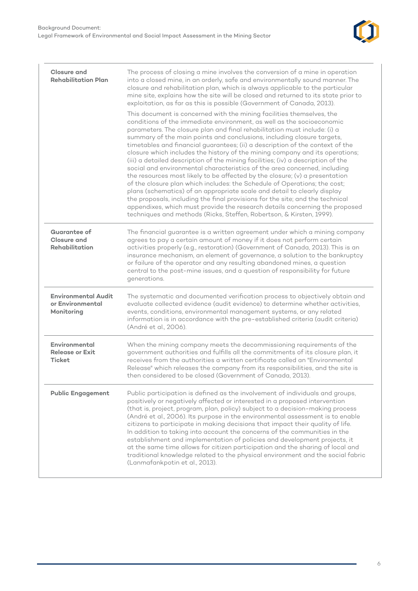

| <b>Closure and</b><br><b>Rehabilitation Plan</b>             | The process of closing a mine involves the conversion of a mine in operation<br>into a closed mine, in an orderly, safe and environmentally sound manner. The<br>closure and rehabilitation plan, which is always applicable to the particular<br>mine site, explains how the site will be closed and returned to its state prior to<br>exploitation, as far as this is possible (Government of Canada, 2013).<br>This document is concerned with the mining facilities themselves, the<br>conditions of the immediate environment, as well as the socioeconomic<br>parameters. The closure plan and final rehabilitation must include: (i) a<br>summary of the main points and conclusions, including closure targets,<br>timetables and financial guarantees; (ii) a description of the context of the<br>closure which includes the history of the mining company and its operations;<br>(iii) a detailed description of the mining facilities; (iv) a description of the<br>social and environmental characteristics of the area concerned, including<br>the resources most likely to be affected by the closure; (v) a presentation<br>of the closure plan which includes: the Schedule of Operations; the cost;<br>plans (schematics) of an appropriate scale and detail to clearly display<br>the proposals, including the final provisions for the site; and the technical<br>appendixes, which must provide the research details concerning the proposed<br>techniques and methods (Ricks, Steffen, Robertson, & Kirsten, 1999). |
|--------------------------------------------------------------|-------------------------------------------------------------------------------------------------------------------------------------------------------------------------------------------------------------------------------------------------------------------------------------------------------------------------------------------------------------------------------------------------------------------------------------------------------------------------------------------------------------------------------------------------------------------------------------------------------------------------------------------------------------------------------------------------------------------------------------------------------------------------------------------------------------------------------------------------------------------------------------------------------------------------------------------------------------------------------------------------------------------------------------------------------------------------------------------------------------------------------------------------------------------------------------------------------------------------------------------------------------------------------------------------------------------------------------------------------------------------------------------------------------------------------------------------------------------------------------------------------------------------------------------|
| Guarantee of<br><b>Closure and</b><br><b>Rehabilitation</b>  | The financial guarantee is a written agreement under which a mining company<br>agrees to pay a certain amount of money if it does not perform certain<br>activities properly (e.g., restoration) (Government of Canada, 2013). This is an<br>insurance mechanism, an element of governance, a solution to the bankruptcy<br>or failure of the operator and any resulting abandoned mines, a question<br>central to the post-mine issues, and a question of responsibility for future<br>generations.                                                                                                                                                                                                                                                                                                                                                                                                                                                                                                                                                                                                                                                                                                                                                                                                                                                                                                                                                                                                                                      |
| <b>Environmental Audit</b><br>or Environmental<br>Monitoring | The systematic and documented verification process to objectively obtain and<br>evaluate collected evidence (audit evidence) to determine whether activities,<br>events, conditions, environmental management systems, or any related<br>information is in accordance with the pre-established criteria (audit criteria)<br>(André et al., 2006).                                                                                                                                                                                                                                                                                                                                                                                                                                                                                                                                                                                                                                                                                                                                                                                                                                                                                                                                                                                                                                                                                                                                                                                         |
| Environmental<br><b>Release or Exit</b><br><b>Ticket</b>     | When the mining company meets the decommissioning requirements of the<br>government authorities and fulfills all the commitments of its closure plan, it<br>receives from the authorities a written certificate called an "Environmental<br>Release" which releases the company from its responsibilities, and the site is<br>then considered to be closed (Government of Canada, 2013).                                                                                                                                                                                                                                                                                                                                                                                                                                                                                                                                                                                                                                                                                                                                                                                                                                                                                                                                                                                                                                                                                                                                                  |
| <b>Public Engagement</b>                                     | Public participation is defined as the involvement of individuals and groups,<br>positively or negatively affected or interested in a proposed intervention<br>(that is, project, program, plan, policy) subject to a decision-making process<br>(André et al., 2006). Its purpose in the environmental assessment is to enable<br>citizens to participate in making decisions that impact their quality of life.<br>In addition to taking into account the concerns of the communities in the<br>establishment and implementation of policies and development projects, it<br>at the same time allows for citizen participation and the sharing of local and<br>traditional knowledge related to the physical environment and the social fabric<br>(Lanmafankpotin et al., 2013).                                                                                                                                                                                                                                                                                                                                                                                                                                                                                                                                                                                                                                                                                                                                                        |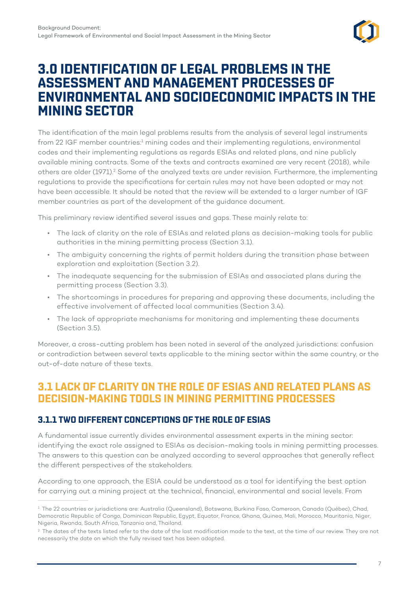

# <span id="page-11-0"></span>**3.0 IDENTIFICATION OF LEGAL PROBLEMS IN THE ASSESSMENT AND MANAGEMENT PROCESSES OF ENVIRONMENTAL AND SOCIOECONOMIC IMPACTS IN THE MINING SECTOR**

The identification of the main legal problems results from the analysis of several legal instruments from 22 IGF member countries:<sup>1</sup> mining codes and their implementing regulations, environmental codes and their implementing regulations as regards ESIAs and related plans, and nine publicly available mining contracts. Some of the texts and contracts examined are very recent (2018), while others are older (1971).<sup>2</sup> Some of the analyzed texts are under revision. Furthermore, the implementing regulations to provide the specifications for certain rules may not have been adopted or may not have been accessible. It should be noted that the review will be extended to a larger number of IGF member countries as part of the development of the guidance document.

This preliminary review identified several issues and gaps. These mainly relate to:

- The lack of clarity on the role of ESIAs and related plans as decision-making tools for public authorities in the mining permitting process (Section 3.1).
- The ambiguity concerning the rights of permit holders during the transition phase between exploration and exploitation (Section 3.2).
- The inadequate sequencing for the submission of ESIAs and associated plans during the permitting process (Section 3.3).
- The shortcomings in procedures for preparing and approving these documents, including the effective involvement of affected local communities (Section 3.4).
- The lack of appropriate mechanisms for monitoring and implementing these documents (Section 3.5).

Moreover, a cross-cutting problem has been noted in several of the analyzed jurisdictions: confusion or contradiction between several texts applicable to the mining sector within the same country, or the out-of-date nature of these texts.

# **3.1 LACK OF CLARITY ON THE ROLE OF ESIAS AND RELATED PLANS AS DECISION-MAKING TOOLS IN MINING PERMITTING PROCESSES**

#### **3.1.1 TWO DIFFERENT CONCEPTIONS OF THE ROLE OF ESIAS**

A fundamental issue currently divides environmental assessment experts in the mining sector: identifying the exact role assigned to ESIAs as decision-making tools in mining permitting processes. The answers to this question can be analyzed according to several approaches that generally reflect the different perspectives of the stakeholders.

According to one approach, the ESIA could be understood as a tool for identifying the best option for carrying out a mining project at the technical, financial, environmental and social levels. From

<sup>&</sup>lt;sup>1</sup> The 22 countries or jurisdictions are: Australia (Queensland), Botswana, Burkina Faso, Cameroon, Canada (Québec), Chad, Democratic Republic of Congo, Dominican Republic, Egypt, Equator, France, Ghana, Guinea, Mali, Morocco, Mauritania, Niger, Nigeria, Rwanda, South Africa, Tanzania and, Thailand.

<sup>&</sup>lt;sup>2</sup> The dates of the texts listed refer to the date of the last modification made to the text, at the time of our review. They are not necessarily the date on which the fully revised text has been adopted.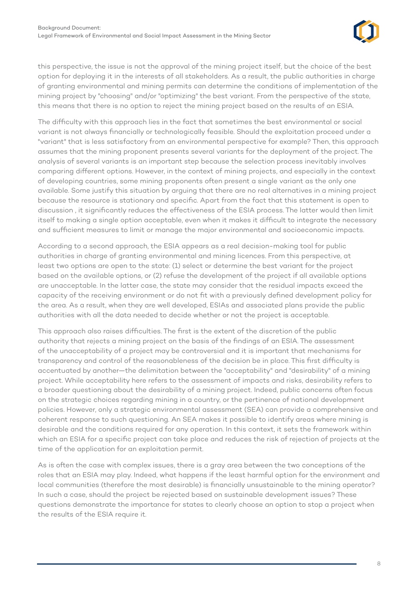

this perspective, the issue is not the approval of the mining project itself, but the choice of the best option for deploying it in the interests of all stakeholders. As a result, the public authorities in charge of granting environmental and mining permits can determine the conditions of implementation of the mining project by "choosing" and/or "optimizing" the best variant. From the perspective of the state, this means that there is no option to reject the mining project based on the results of an ESIA.

The difficulty with this approach lies in the fact that sometimes the best environmental or social variant is not always financially or technologically feasible. Should the exploitation proceed under a "variant" that is less satisfactory from an environmental perspective for example? Then, this approach assumes that the mining proponent presents several variants for the deployment of the project. The analysis of several variants is an important step because the selection process inevitably involves comparing different options. However, in the context of mining projects, and especially in the context of developing countries, some mining proponents often present a single variant as the only one available. Some justify this situation by arguing that there are no real alternatives in a mining project because the resource is stationary and specific. Apart from the fact that this statement is open to discussion , it significantly reduces the effectiveness of the ESIA process. The latter would then limit itself to making a single option acceptable, even when it makes it difficult to integrate the necessary and sufficient measures to limit or manage the major environmental and socioeconomic impacts.

According to a second approach, the ESIA appears as a real decision-making tool for public authorities in charge of granting environmental and mining licences. From this perspective, at least two options are open to the state: (1) select or determine the best variant for the project based on the available options, or (2) refuse the development of the project if all available options are unacceptable. In the latter case, the state may consider that the residual impacts exceed the capacity of the receiving environment or do not fit with a previously defined development policy for the area. As a result, when they are well developed, ESIAs and associated plans provide the public authorities with all the data needed to decide whether or not the project is acceptable.

This approach also raises difficulties. The first is the extent of the discretion of the public authority that rejects a mining project on the basis of the findings of an ESIA. The assessment of the unacceptability of a project may be controversial and it is important that mechanisms for transparency and control of the reasonableness of the decision be in place. This first difficulty is accentuated by another—the delimitation between the "acceptability" and "desirability" of a mining project. While acceptability here refers to the assessment of impacts and risks, desirability refers to a broader questioning about the desirability of a mining project. Indeed, public concerns often focus on the strategic choices regarding mining in a country, or the pertinence of national development policies. However, only a strategic environmental assessment (SEA) can provide a comprehensive and coherent response to such questioning. An SEA makes it possible to identify areas where mining is desirable and the conditions required for any operation. In this context, it sets the framework within which an ESIA for a specific project can take place and reduces the risk of rejection of projects at the time of the application for an exploitation permit.

As is often the case with complex issues, there is a gray area between the two conceptions of the roles that an ESIA may play. Indeed, what happens if the least harmful option for the environment and local communities (therefore the most desirable) is financially unsustainable to the mining operator? In such a case, should the project be rejected based on sustainable development issues? These questions demonstrate the importance for states to clearly choose an option to stop a project when the results of the ESIA require it.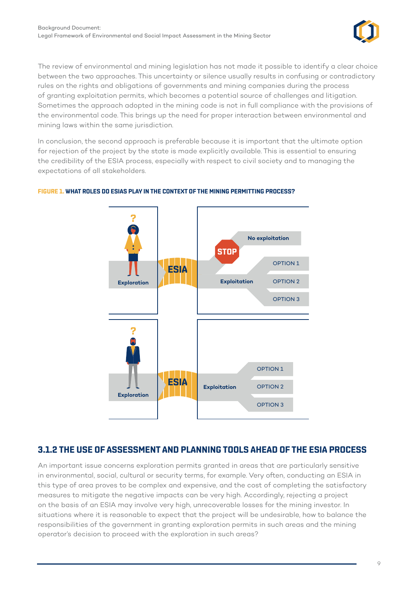

<span id="page-13-0"></span>The review of environmental and mining legislation has not made it possible to identify a clear choice between the two approaches. This uncertainty or silence usually results in confusing or contradictory rules on the rights and obligations of governments and mining companies during the process of granting exploitation permits, which becomes a potential source of challenges and litigation. Sometimes the approach adopted in the mining code is not in full compliance with the provisions of the environmental code. This brings up the need for proper interaction between environmental and mining laws within the same jurisdiction.

In conclusion, the second approach is preferable because it is important that the ultimate option for rejection of the project by the state is made explicitly available. This is essential to ensuring the credibility of the ESIA process, especially with respect to civil society and to managing the expectations of all stakeholders.



#### **FIGURE 1. WHAT ROLES DO ESIAS PLAY IN THE CONTEXT OF THE MINING PERMITTING PROCESS?**

#### **3.1.2 THE USE OF ASSESSMENT AND PLANNING TOOLS AHEAD OF THE ESIA PROCESS**

An important issue concerns exploration permits granted in areas that are particularly sensitive in environmental, social, cultural or security terms, for example. Very often, conducting an ESIA in this type of area proves to be complex and expensive, and the cost of completing the satisfactory measures to mitigate the negative impacts can be very high. Accordingly, rejecting a project on the basis of an ESIA may involve very high, unrecoverable losses for the mining investor. In situations where it is reasonable to expect that the project will be undesirable, how to balance the responsibilities of the government in granting exploration permits in such areas and the mining operator's decision to proceed with the exploration in such areas?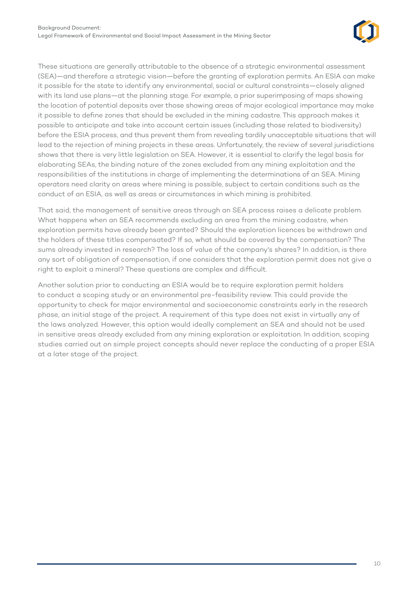

These situations are generally attributable to the absence of a strategic environmental assessment (SEA)—and therefore a strategic vision—before the granting of exploration permits. An ESIA can make it possible for the state to identify any environmental, social or cultural constraints—closely aligned with its land use plans—at the planning stage. For example, a prior superimposing of maps showing the location of potential deposits over those showing areas of major ecological importance may make it possible to define zones that should be excluded in the mining cadastre. This approach makes it possible to anticipate and take into account certain issues (including those related to biodiversity) before the ESIA process, and thus prevent them from revealing tardily unacceptable situations that will lead to the rejection of mining projects in these areas. Unfortunately, the review of several jurisdictions shows that there is very little legislation on SEA. However, it is essential to clarify the legal basis for elaborating SEAs, the binding nature of the zones excluded from any mining exploitation and the responsibilities of the institutions in charge of implementing the determinations of an SEA. Mining operators need clarity on areas where mining is possible, subject to certain conditions such as the conduct of an ESIA, as well as areas or circumstances in which mining is prohibited.

That said, the management of sensitive areas through an SEA process raises a delicate problem. What happens when an SEA recommends excluding an area from the mining cadastre, when exploration permits have already been granted? Should the exploration licences be withdrawn and the holders of these titles compensated? If so, what should be covered by the compensation? The sums already invested in research? The loss of value of the company's shares? In addition, is there any sort of obligation of compensation, if one considers that the exploration permit does not give a right to exploit a mineral? These questions are complex and difficult.

Another solution prior to conducting an ESIA would be to require exploration permit holders to conduct a scoping study or an environmental pre-feasibility review. This could provide the opportunity to check for major environmental and socioeconomic constraints early in the research phase, an initial stage of the project. A requirement of this type does not exist in virtually any of the laws analyzed. However, this option would ideally complement an SEA and should not be used in sensitive areas already excluded from any mining exploration or exploitation. In addition, scoping studies carried out on simple project concepts should never replace the conducting of a proper ESIA at a later stage of the project.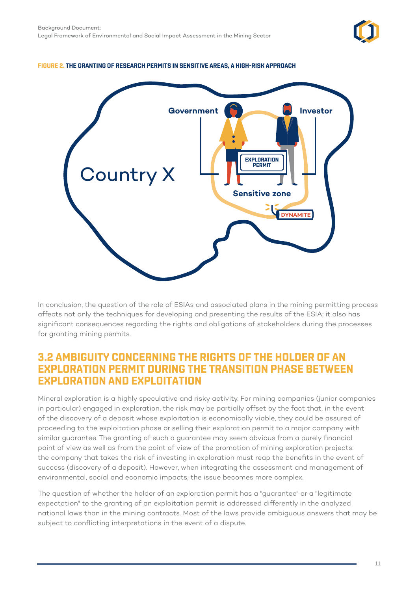

#### <span id="page-15-0"></span>**FIGURE 2. THE GRANTING OF RESEARCH PERMITS IN SENSITIVE AREAS, A HIGH-RISK APPROACH**



In conclusion, the question of the role of ESIAs and associated plans in the mining permitting process affects not only the techniques for developing and presenting the results of the ESIA; it also has significant consequences regarding the rights and obligations of stakeholders during the processes for granting mining permits.

## **3.2 AMBIGUITY CONCERNING THE RIGHTS OF THE HOLDER OF AN EXPLORATION PERMIT DURING THE TRANSITION PHASE BETWEEN EXPLORATION AND EXPLOITATION**

Mineral exploration is a highly speculative and risky activity. For mining companies (junior companies in particular) engaged in exploration, the risk may be partially offset by the fact that, in the event of the discovery of a deposit whose exploitation is economically viable, they could be assured of proceeding to the exploitation phase or selling their exploration permit to a major company with similar guarantee. The granting of such a guarantee may seem obvious from a purely financial point of view as well as from the point of view of the promotion of mining exploration projects: the company that takes the risk of investing in exploration must reap the benefits in the event of success (discovery of a deposit). However, when integrating the assessment and management of environmental, social and economic impacts, the issue becomes more complex.

The question of whether the holder of an exploration permit has a "guarantee" or a "legitimate expectation" to the granting of an exploitation permit is addressed differently in the analyzed national laws than in the mining contracts. Most of the laws provide ambiguous answers that may be subject to conflicting interpretations in the event of a dispute.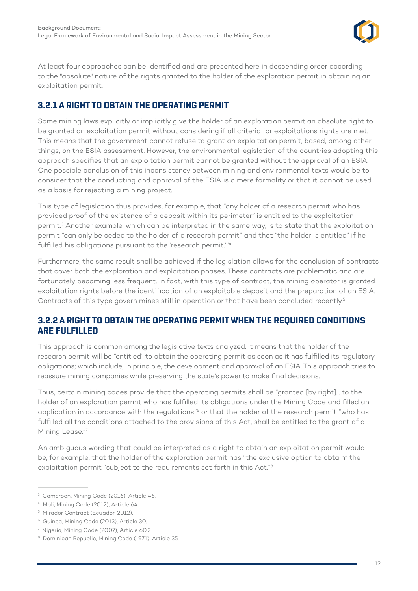

<span id="page-16-0"></span>At least four approaches can be identified and are presented here in descending order according to the "absolute" nature of the rights granted to the holder of the exploration permit in obtaining an exploitation permit.

## **3.2.1 A RIGHT TO OBTAIN THE OPERATING PERMIT**

Some mining laws explicitly or implicitly give the holder of an exploration permit an absolute right to be granted an exploitation permit without considering if all criteria for exploitations rights are met. This means that the government cannot refuse to grant an exploitation permit, based, among other things, on the ESIA assessment. However, the environmental legislation of the countries adopting this approach specifies that an exploitation permit cannot be granted without the approval of an ESIA. One possible conclusion of this inconsistency between mining and environmental texts would be to consider that the conducting and approval of the ESIA is a mere formality or that it cannot be used as a basis for rejecting a mining project.

This type of legislation thus provides, for example, that "any holder of a research permit who has provided proof of the existence of a deposit within its perimeter" is entitled to the exploitation permit.<sup>3</sup> Another example, which can be interpreted in the same way, is to state that the exploitation permit "can only be ceded to the holder of a research permit" and that "the holder is entitled" if he fulfilled his obligations pursuant to the 'research permit.'"4

Furthermore, the same result shall be achieved if the legislation allows for the conclusion of contracts that cover both the exploration and exploitation phases. These contracts are problematic and are fortunately becoming less frequent. In fact, with this type of contract, the mining operator is granted exploitation rights before the identification of an exploitable deposit and the preparation of an ESIA. Contracts of this type govern mines still in operation or that have been concluded recently.<sup>5</sup>

#### **3.2.2 A RIGHT TO OBTAIN THE OPERATING PERMIT WHEN THE REQUIRED CONDITIONS ARE FULFILLED**

This approach is common among the legislative texts analyzed. It means that the holder of the research permit will be "entitled" to obtain the operating permit as soon as it has fulfilled its regulatory obligations; which include, in principle, the development and approval of an ESIA. This approach tries to reassure mining companies while preserving the state's power to make final decisions.

Thus, certain mining codes provide that the operating permits shall be "granted [by right]... to the holder of an exploration permit who has fulfilled its obligations under the Mining Code and filled an application in accordance with the regulations"6 or that the holder of the research permit "who has fulfilled all the conditions attached to the provisions of this Act, shall be entitled to the grant of a Mining Lease."7

An ambiguous wording that could be interpreted as a right to obtain an exploitation permit would be, for example, that the holder of the exploration permit has "the exclusive option to obtain" the exploitation permit "subject to the requirements set forth in this Act."8

<sup>&</sup>lt;sup>3</sup> Cameroon, Mining Code (2016), Article 46.

<sup>4</sup> Mali, Mining Code (2012), Article 64.

<sup>5</sup> Mirador Contract (Ecuador, 2012).

<sup>6</sup> Guinea, Mining Code (2013), Article 30.

<sup>7</sup> Nigeria, Mining Code (2007), Article 60.2

<sup>&</sup>lt;sup>8</sup> Dominican Republic, Mining Code (1971), Article 35.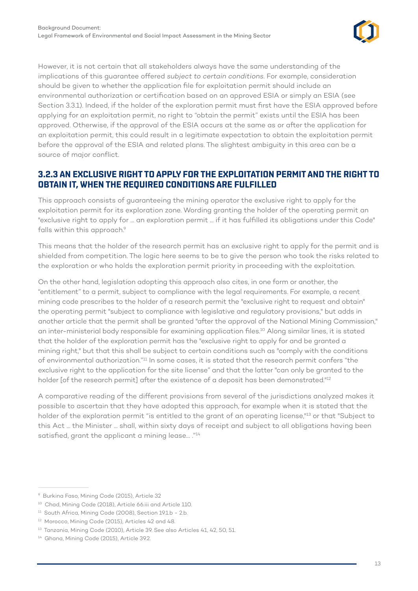

<span id="page-17-0"></span>However, it is not certain that all stakeholders always have the same understanding of the implications of this guarantee offered *subject to certain conditions*. For example, consideration should be given to whether the application file for exploitation permit should include an environmental authorization or certification based on an approved ESIA or simply an ESIA (see Section 3.3.1). Indeed, if the holder of the exploration permit must first have the ESIA approved before applying for an exploitation permit, no right to "obtain the permit" exists until the ESIA has been approved. Otherwise, if the approval of the ESIA occurs at the same as or after the application for an exploitation permit, this could result in a legitimate expectation to obtain the exploitation permit before the approval of the ESIA and related plans. The slightest ambiguity in this area can be a source of major conflict.

#### **3.2.3 AN EXCLUSIVE RIGHT TO APPLY FOR THE EXPLOITATION PERMIT AND THE RIGHT TO OBTAIN IT, WHEN THE REQUIRED CONDITIONS ARE FULFILLED**

This approach consists of guaranteeing the mining operator the exclusive right to apply for the exploitation permit for its exploration zone. Wording granting the holder of the operating permit an "exclusive right to apply for ... an exploration permit ... if it has fulfilled its obligations under this Code" falls within this approach.<sup>9</sup>

This means that the holder of the research permit has an exclusive right to apply for the permit and is shielded from competition. The logic here seems to be to give the person who took the risks related to the exploration or who holds the exploration permit priority in proceeding with the exploitation.

On the other hand, legislation adopting this approach also cites, in one form or another, the "entitlement" to a permit, subject to compliance with the legal requirements. For example, a recent mining code prescribes to the holder of a research permit the "exclusive right to request and obtain" the operating permit "subject to compliance with legislative and regulatory provisions," but adds in another article that the permit shall be granted "after the approval of the National Mining Commission," an inter-ministerial body responsible for examining application files.10 Along similar lines, it is stated that the holder of the exploration permit has the "exclusive right to apply for and be granted a mining right," but that this shall be subject to certain conditions such as "comply with the conditions of environmental authorization."11 In some cases, it is stated that the research permit confers "the exclusive right to the application for the site license" and that the latter "can only be granted to the holder [of the research permit] after the existence of a deposit has been demonstrated."<sup>12</sup>

A comparative reading of the different provisions from several of the jurisdictions analyzed makes it possible to ascertain that they have adopted this approach, for example when it is stated that the holder of the exploration permit "is entitled to the grant of an operating license,"<sup>13</sup> or that "Subject to this Act ... the Minister ... shall, within sixty days of receipt and subject to all obligations having been satisfied, grant the applicant a mining lease... ."14

<sup>9</sup> Burkina Faso, Mining Code (2015), Article 32

<sup>&</sup>lt;sup>10</sup> Chad, Mining Code (2018), Article 66.iii and Article 110.

<sup>&</sup>lt;sup>11</sup> South Africa, Mining Code (2008), Section 19.1.b - 2.b.

<sup>&</sup>lt;sup>12</sup> Morocco, Mining Code (2015), Articles 42 and 48.

<sup>&</sup>lt;sup>13</sup> Tanzania, Mining Code (2010), Article 39. See also Articles 41, 42, 50, 51.

<sup>14</sup> Ghana, Mining Code (2015), Article 39.2.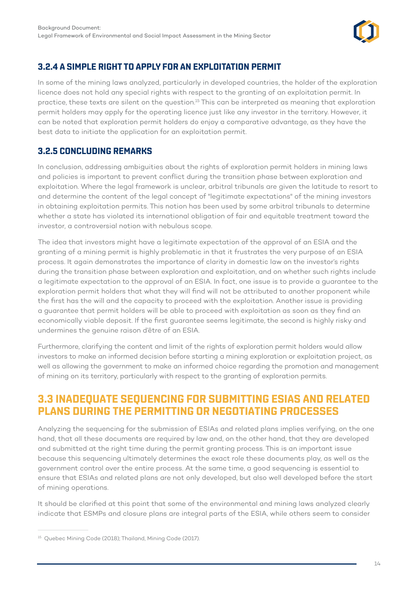

### <span id="page-18-0"></span>**3.2.4 A SIMPLE RIGHT TO APPLY FOR AN EXPLOITATION PERMIT**

In some of the mining laws analyzed, particularly in developed countries, the holder of the exploration licence does not hold any special rights with respect to the granting of an exploitation permit. In practice, these texts are silent on the question.15 This can be interpreted as meaning that exploration permit holders may apply for the operating licence just like any investor in the territory. However, it can be noted that exploration permit holders do enjoy a comparative advantage, as they have the best data to initiate the application for an exploitation permit.

### **3.2.5 CONCLUDING REMARKS**

In conclusion, addressing ambiguities about the rights of exploration permit holders in mining laws and policies is important to prevent conflict during the transition phase between exploration and exploitation. Where the legal framework is unclear, arbitral tribunals are given the latitude to resort to and determine the content of the legal concept of "legitimate expectations" of the mining investors in obtaining exploitation permits. This notion has been used by some arbitral tribunals to determine whether a state has violated its international obligation of fair and equitable treatment toward the investor, a controversial notion with nebulous scope.

The idea that investors might have a legitimate expectation of the approval of an ESIA and the granting of a mining permit is highly problematic in that it frustrates the very purpose of an ESIA process. It again demonstrates the importance of clarity in domestic law on the investor's rights during the transition phase between exploration and exploitation, and on whether such rights include a legitimate expectation to the approval of an ESIA. In fact, one issue is to provide a guarantee to the exploration permit holders that what they will find will not be attributed to another proponent while the first has the will and the capacity to proceed with the exploitation. Another issue is providing a guarantee that permit holders will be able to proceed with exploitation as soon as they find an economically viable deposit. If the first guarantee seems legitimate, the second is highly risky and undermines the genuine raison d'être of an ESIA.

Furthermore, clarifying the content and limit of the rights of exploration permit holders would allow investors to make an informed decision before starting a mining exploration or exploitation project, as well as allowing the government to make an informed choice regarding the promotion and management of mining on its territory, particularly with respect to the granting of exploration permits.

# **3.3 INADEQUATE SEQUENCING FOR SUBMITTING ESIAS AND RELATED PLANS DURING THE PERMITTING OR NEGOTIATING PROCESSES**

Analyzing the sequencing for the submission of ESIAs and related plans implies verifying, on the one hand, that all these documents are required by law and, on the other hand, that they are developed and submitted at the right time during the permit granting process. This is an important issue because this sequencing ultimately determines the exact role these documents play, as well as the government control over the entire process. At the same time, a good sequencing is essential to ensure that ESIAs and related plans are not only developed, but also well developed before the start of mining operations.

It should be clarified at this point that some of the environmental and mining laws analyzed clearly indicate that ESMPs and closure plans are integral parts of the ESIA, while others seem to consider

<sup>&</sup>lt;sup>15</sup> Quebec Mining Code (2018); Thailand, Mining Code (2017).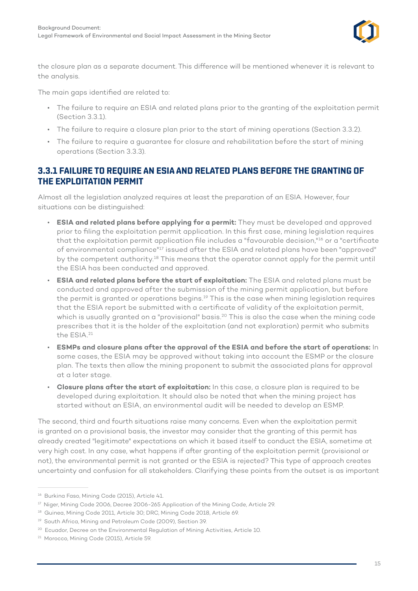

<span id="page-19-0"></span>the closure plan as a separate document. This difference will be mentioned whenever it is relevant to the analysis.

The main gaps identified are related to:

- The failure to require an ESIA and related plans prior to the granting of the exploitation permit (Section 3.3.1).
- The failure to require a closure plan prior to the start of mining operations (Section 3.3.2).
- The failure to require a guarantee for closure and rehabilitation before the start of mining operations (Section 3.3.3).

#### **3.3.1 FAILURE TO REQUIRE AN ESIA AND RELATED PLANS BEFORE THE GRANTING OF THE EXPLOITATION PERMIT**

Almost all the legislation analyzed requires at least the preparation of an ESIA. However, four situations can be distinguished:

- **ESIA and related plans before applying for a permit:** They must be developed and approved prior to filing the exploitation permit application. In this first case, mining legislation requires that the exploitation permit application file includes a "favourable decision,"<sup>16</sup> or a "certificate of environmental compliance"17 issued after the ESIA and related plans have been "approved" by the competent authority.<sup>18</sup> This means that the operator cannot apply for the permit until the ESIA has been conducted and approved.
- **ESIA and related plans before the start of exploitation:** The ESIA and related plans must be conducted and approved after the submission of the mining permit application, but before the permit is granted or operations begins.<sup>19</sup> This is the case when mining legislation requires that the ESIA report be submitted with a certificate of validity of the exploitation permit, which is usually granted on a "provisional" basis.<sup>20</sup> This is also the case when the mining code prescribes that it is the holder of the exploitation (and not exploration) permit who submits the ESIA.21
- **ESMPs and closure plans after the approval of the ESIA and before the start of operations:** In some cases, the ESIA may be approved without taking into account the ESMP or the closure plan. The texts then allow the mining proponent to submit the associated plans for approval at a later stage.
- **Closure plans after the start of exploitation:** In this case, a closure plan is required to be developed during exploitation. It should also be noted that when the mining project has started without an ESIA, an environmental audit will be needed to develop an ESMP.

The second, third and fourth situations raise many concerns. Even when the exploitation permit is granted on a provisional basis, the investor may consider that the granting of this permit has already created "legitimate" expectations on which it based itself to conduct the ESIA, sometime at very high cost. In any case, what happens if after granting of the exploitation permit (provisional or not), the environmental permit is not granted or the ESIA is rejected? This type of approach creates uncertainty and confusion for all stakeholders. Clarifying these points from the outset is as important

<sup>16</sup> Burkina Faso, Mining Code (2015), Article 41.

<sup>&</sup>lt;sup>17</sup> Niger, Mining Code 2006, Decree 2006-265 Application of the Mining Code, Article 29.

<sup>&</sup>lt;sup>18</sup> Guinea, Mining Code 2011, Article 30; DRC, Mining Code 2018, Article 69.

<sup>&</sup>lt;sup>19</sup> South Africa, Mining and Petroleum Code (2009), Section 39.

<sup>&</sup>lt;sup>20</sup> Ecuador, Decree on the Environmental Regulation of Mining Activities, Article 10.

<sup>21</sup> Morocco, Mining Code (2015), Article 59.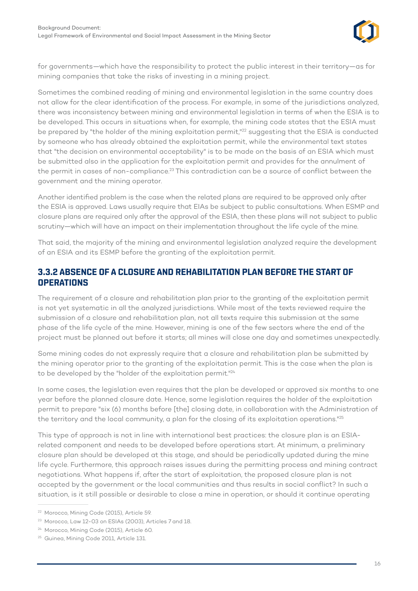

<span id="page-20-0"></span>for governments—which have the responsibility to protect the public interest in their territory—as for mining companies that take the risks of investing in a mining project.

Sometimes the combined reading of mining and environmental legislation in the same country does not allow for the clear identification of the process. For example, in some of the jurisdictions analyzed, there was inconsistency between mining and environmental legislation in terms of when the ESIA is to be developed. This occurs in situations when, for example, the mining code states that the ESIA must be prepared by "the holder of the mining exploitation permit,"<sup>22</sup> suggesting that the ESIA is conducted by someone who has already obtained the exploitation permit, while the environmental text states that "the decision on environmental acceptability" is to be made on the basis of an ESIA which must be submitted also in the application for the exploitation permit and provides for the annulment of the permit in cases of non-compliance.<sup>23</sup> This contradiction can be a source of conflict between the government and the mining operator.

Another identified problem is the case when the related plans are required to be approved only after the ESIA is approved. Laws usually require that EIAs be subject to public consultations. When ESMP and closure plans are required only after the approval of the ESIA, then these plans will not subject to public scrutiny—which will have an impact on their implementation throughout the life cycle of the mine.

That said, the majority of the mining and environmental legislation analyzed require the development of an ESIA and its ESMP before the granting of the exploitation permit.

#### **3.3.2 ABSENCE OF A CLOSURE AND REHABILITATION PLAN BEFORE THE START OF OPERATIONS**

The requirement of a closure and rehabilitation plan prior to the granting of the exploitation permit is not yet systematic in all the analyzed jurisdictions. While most of the texts reviewed require the submission of a closure and rehabilitation plan, not all texts require this submission at the same phase of the life cycle of the mine. However, mining is one of the few sectors where the end of the project must be planned out before it starts; all mines will close one day and sometimes unexpectedly.

Some mining codes do not expressly require that a closure and rehabilitation plan be submitted by the mining operator prior to the granting of the exploitation permit. This is the case when the plan is to be developed by the "holder of the exploitation permit."<sup>24</sup>

In some cases, the legislation even requires that the plan be developed or approved six months to one year before the planned closure date. Hence, some legislation requires the holder of the exploitation permit to prepare "six (6) months before [the] closing date, in collaboration with the Administration of the territory and the local community, a plan for the closing of its exploitation operations."<sup>25</sup>

This type of approach is not in line with international best practices: the closure plan is an ESIArelated component and needs to be developed before operations start. At minimum, a preliminary closure plan should be developed at this stage, and should be periodically updated during the mine life cycle. Furthermore, this approach raises issues during the permitting process and mining contract negotiations. What happens if, after the start of exploitation, the proposed closure plan is not accepted by the government or the local communities and thus results in social conflict? In such a situation, is it still possible or desirable to close a mine in operation, or should it continue operating

<sup>22</sup> Morocco, Mining Code (2015), Article 59.

<sup>&</sup>lt;sup>23</sup> Morocco, Law 12-03 on ESIAs (2003), Articles 7 and 18.

<sup>&</sup>lt;sup>24</sup> Morocco, Mining Code (2015), Article 60.

<sup>&</sup>lt;sup>25</sup> Guinea, Mining Code 2011, Article 131.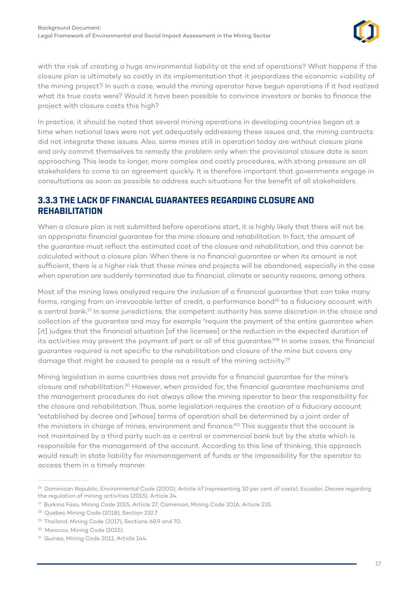

<span id="page-21-0"></span>with the risk of creating a huge environmental liability at the end of operations? What happens if the closure plan is ultimately so costly in its implementation that it jeopardizes the economic viability of the mining project? In such a case, would the mining operator have begun operations if it had realized what its true costs were? Would it have been possible to convince investors or banks to finance the project with closure costs this high?

In practice, it should be noted that several mining operations in developing countries began at a time when national laws were not yet adequately addressing these issues and, the mining contracts did not integrate these issues. Also, some mines still in operation today are without closure plans and only commit themselves to remedy the problem only when the provisional closure date is soon approaching. This leads to longer, more complex and costly procedures, with strong pressure on all stakeholders to come to an agreement quickly. It is therefore important that governments engage in consultations as soon as possible to address such situations for the benefit of all stakeholders.

#### **3.3.3 THE LACK OF FINANCIAL GUARANTEES REGARDING CLOSURE AND REHABILITATION**

When a closure plan is not submitted before operations start, it is highly likely that there will not be an appropriate financial guarantee for the mine closure and rehabilitation. In fact, the amount of the guarantee must reflect the estimated cost of the closure and rehabilitation, and this cannot be calculated without a closure plan. When there is no financial guarantee or when its amount is not sufficient, there is a higher risk that these mines and projects will be abandoned, especially in the case when operation are suddenly terminated due to financial, climate or security reasons, among others.

Most of the mining laws analyzed require the inclusion of a financial guarantee that can take many forms, ranging from an irrevocable letter of credit, a performance bond<sup>26</sup> to a fiduciary account with a central bank.27 In some jurisdictions, the competent authority has some discretion in the choice and collection of the guarantee and may for example "require the payment of the entire guarantee when [it] judges that the financial situation [of the licensee] or the reduction in the expected duration of its activities may prevent the payment of part or all of this guarantee."<sup>28</sup> In some cases, the financial guarantee required is not specific to the rehabilitation and closure of the mine but covers any damage that might be caused to people as a result of the mining activity.<sup>29</sup>

Mining legislation in some countries does not provide for a financial guarantee for the mine's closure and rehabilitation.30 However, when provided for, the financial guarantee mechanisms and the management procedures do not always allow the mining operator to bear the responsibility for the closure and rehabilitation. Thus, some legislation requires the creation of a fiduciary account "established by decree and [whose] terms of operation shall be determined by a joint order of the ministers in charge of mines, environment and finance."<sup>31</sup> This suggests that the account is not maintained by a third party such as a central or commercial bank but by the state which is responsible for the management of the account. According to this line of thinking, this approach would result in state liability for mismanagement of funds or the impossibility for the operator to access them in a timely manner.

<sup>&</sup>lt;sup>26</sup> Dominican Republic, Environmental Code (2000), Article 47 (representing 10 per cent of costs); Ecuador, Decree regarding the regulation of mining activities (2015), Article 34.

<sup>27</sup> Burkina Faso, Mining Code 2015, Article 27; Cameroon, Mining Code 2016, Article 235.

<sup>&</sup>lt;sup>28</sup> Quebec Mining Code (2018), Section 232.7.

<sup>&</sup>lt;sup>29</sup> Thailand, Mining Code (2017), Sections 68.9 and 70.

<sup>&</sup>lt;sup>30</sup> Morocco, Mining Code (2015).

<sup>&</sup>lt;sup>31</sup> Guinea, Mining Code 2011, Article 144.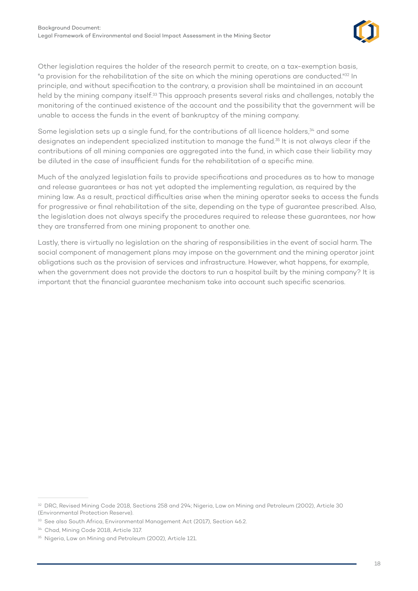

Other legislation requires the holder of the research permit to create, on a tax-exemption basis, "a provision for the rehabilitation of the site on which the mining operations are conducted."32 In principle, and without specification to the contrary, a provision shall be maintained in an account held by the mining company itself.<sup>33</sup> This approach presents several risks and challenges, notably the monitoring of the continued existence of the account and the possibility that the government will be unable to access the funds in the event of bankruptcy of the mining company.

Some legislation sets up a single fund, for the contributions of all licence holders,<sup>34</sup> and some designates an independent specialized institution to manage the fund.35 It is not always clear if the contributions of all mining companies are aggregated into the fund, in which case their liability may be diluted in the case of insufficient funds for the rehabilitation of a specific mine.

Much of the analyzed legislation fails to provide specifications and procedures as to how to manage and release guarantees or has not yet adopted the implementing regulation, as required by the mining law. As a result, practical difficulties arise when the mining operator seeks to access the funds for progressive or final rehabilitation of the site, depending on the type of guarantee prescribed. Also, the legislation does not always specify the procedures required to release these guarantees, nor how they are transferred from one mining proponent to another one.

Lastly, there is virtually no legislation on the sharing of responsibilities in the event of social harm. The social component of management plans may impose on the government and the mining operator joint obligations such as the provision of services and infrastructure. However, what happens, for example, when the government does not provide the doctors to run a hospital built by the mining company? It is important that the financial guarantee mechanism take into account such specific scenarios.

<sup>32</sup> DRC, Revised Mining Code 2018, Sections 258 and 294; Nigeria, Law on Mining and Petroleum (2002), Article 30 (Environmental Protection Reserve).

<sup>&</sup>lt;sup>33</sup> See also South Africa, Environmental Management Act (2017), Section 46.2.

<sup>34</sup> Chad, Mining Code 2018, Article 317.

<sup>&</sup>lt;sup>35</sup> Nigeria, Law on Mining and Petroleum (2002), Article 121.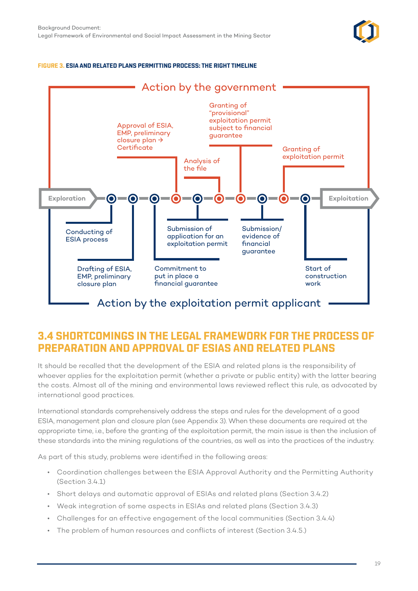

#### <span id="page-23-0"></span>**FIGURE 3. ESIA AND RELATED PLANS PERMITTING PROCESS: THE RIGHT TIMELINE**



# **3.4 SHORTCOMINGS IN THE LEGAL FRAMEWORK FOR THE PROCESS OF PREPARATION AND APPROVAL OF ESIAS AND RELATED PLANS**

It should be recalled that the development of the ESIA and related plans is the responsibility of whoever applies for the exploitation permit (whether a private or public entity) with the latter bearing the costs. Almost all of the mining and environmental laws reviewed reflect this rule, as advocated by international good practices.

International standards comprehensively address the steps and rules for the development of a good ESIA, management plan and closure plan (see Appendix 3). When these documents are required at the appropriate time, i.e., before the granting of the exploitation permit, the main issue is then the inclusion of these standards into the mining regulations of the countries, as well as into the practices of the industry.

As part of this study, problems were identified in the following areas:

- Coordination challenges between the ESIA Approval Authority and the Permitting Authority (Section 3.4.1)
- Short delays and automatic approval of ESIAs and related plans (Section 3.4.2)
- Weak integration of some aspects in ESIAs and related plans (Section 3.4.3)
- Challenges for an effective engagement of the local communities (Section 3.4.4)
- The problem of human resources and conflicts of interest (Section 3.4.5.)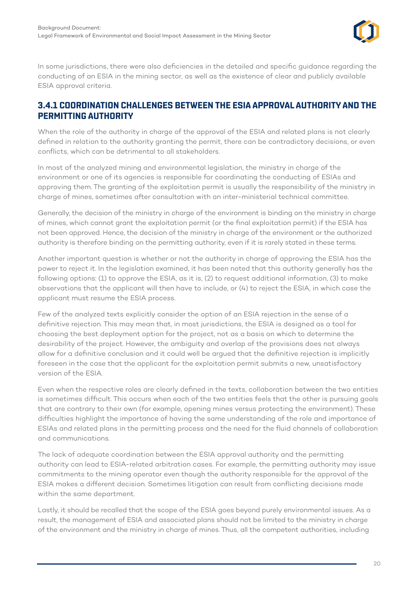

<span id="page-24-0"></span>In some jurisdictions, there were also deficiencies in the detailed and specific guidance regarding the conducting of an ESIA in the mining sector, as well as the existence of clear and publicly available ESIA approval criteria.

#### **3.4.1 COORDINATION CHALLENGES BETWEEN THE ESIA APPROVAL AUTHORITY AND THE PERMITTING AUTHORITY**

When the role of the authority in charge of the approval of the ESIA and related plans is not clearly defined in relation to the authority granting the permit, there can be contradictory decisions, or even conflicts, which can be detrimental to all stakeholders.

In most of the analyzed mining and environmental legislation, the ministry in charge of the environment or one of its agencies is responsible for coordinating the conducting of ESIAs and approving them. The granting of the exploitation permit is usually the responsibility of the ministry in charge of mines, sometimes after consultation with an inter-ministerial technical committee.

Generally, the decision of the ministry in charge of the environment is binding on the ministry in charge of mines, which cannot grant the exploitation permit (or the final exploitation permit) if the ESIA has not been approved. Hence, the decision of the ministry in charge of the environment or the authorized authority is therefore binding on the permitting authority, even if it is rarely stated in these terms.

Another important question is whether or not the authority in charge of approving the ESIA has the power to reject it. In the legislation examined, it has been noted that this authority generally has the following options: (1) to approve the ESIA, as it is, (2) to request additional information, (3) to make observations that the applicant will then have to include, or (4) to reject the ESIA, in which case the applicant must resume the ESIA process.

Few of the analyzed texts explicitly consider the option of an ESIA rejection in the sense of a definitive rejection. This may mean that, in most jurisdictions, the ESIA is designed as a tool for choosing the best deployment option for the project, not as a basis on which to determine the desirability of the project. However, the ambiguity and overlap of the provisions does not always allow for a definitive conclusion and it could well be argued that the definitive rejection is implicitly foreseen in the case that the applicant for the exploitation permit submits a new, unsatisfactory version of the ESIA.

Even when the respective roles are clearly defined in the texts, collaboration between the two entities is sometimes difficult. This occurs when each of the two entities feels that the other is pursuing goals that are contrary to their own (for example, opening mines versus protecting the environment). These difficulties highlight the importance of having the same understanding of the role and importance of ESIAs and related plans in the permitting process and the need for the fluid channels of collaboration and communications.

The lack of adequate coordination between the ESIA approval authority and the permitting authority can lead to ESIA-related arbitration cases. For example, the permitting authority may issue commitments to the mining operator even though the authority responsible for the approval of the ESIA makes a different decision. Sometimes litigation can result from conflicting decisions made within the same department.

Lastly, it should be recalled that the scope of the ESIA goes beyond purely environmental issues. As a result, the management of ESIA and associated plans should not be limited to the ministry in charge of the environment and the ministry in charge of mines. Thus, all the competent authorities, including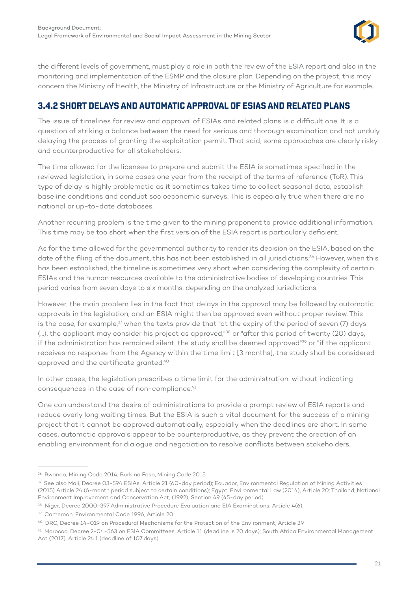

<span id="page-25-0"></span>the different levels of government, must play a role in both the review of the ESIA report and also in the monitoring and implementation of the ESMP and the closure plan. Depending on the project, this may concern the Ministry of Health, the Ministry of Infrastructure or the Ministry of Agriculture for example.

## **3.4.2 SHORT DELAYS AND AUTOMATIC APPROVAL OF ESIAS AND RELATED PLANS**

The issue of timelines for review and approval of ESIAs and related plans is a difficult one. It is a question of striking a balance between the need for serious and thorough examination and not unduly delaying the process of granting the exploitation permit. That said, some approaches are clearly risky and counterproductive for all stakeholders.

The time allowed for the licensee to prepare and submit the ESIA is sometimes specified in the reviewed legislation, in some cases one year from the receipt of the terms of reference (ToR). This type of delay is highly problematic as it sometimes takes time to collect seasonal data, establish baseline conditions and conduct socioeconomic surveys. This is especially true when there are no national or up-to-date databases.

Another recurring problem is the time given to the mining proponent to provide additional information. This time may be too short when the first version of the ESIA report is particularly deficient.

As for the time allowed for the governmental authority to render its decision on the ESIA, based on the date of the filing of the document, this has not been established in all jurisdictions.<sup>36</sup> However, when this has been established, the timeline is sometimes very short when considering the complexity of certain ESIAs and the human resources available to the administrative bodies of developing countries. This period varies from seven days to six months, depending on the analyzed jurisdictions.

However, the main problem lies in the fact that delays in the approval may be followed by automatic approvals in the legislation, and an ESIA might then be approved even without proper review. This is the case, for example,<sup>37</sup> when the texts provide that "at the expiry of the period of seven (7) days (...), the applicant may consider his project as approved,<sup>"38</sup> or "after this period of twenty (20) days, if the administration has remained silent, the study shall be deemed approved"<sup>39</sup> or "if the applicant receives no response from the Agency within the time limit [3 months], the study shall be considered approved and the certificate granted.40

In other cases, the legislation prescribes a time limit for the administration, without indicating consequences in the case of non-compliance.<sup>41</sup>

One can understand the desire of administrations to provide a prompt review of ESIA reports and reduce overly long waiting times. But the ESIA is such a vital document for the success of a mining project that it cannot be approved automatically, especially when the deadlines are short. In some cases, automatic approvals appear to be counterproductive, as they prevent the creation of an enabling environment for dialogue and negotiation to resolve conflicts between stakeholders.

<sup>36</sup> Rwanda, Mining Code 2014; Burkina Faso, Mining Code 2015.

<sup>37</sup> See also Mali, Decree 03-594 ESIAs, Article 21 (60-day period); Ecuador, Environmental Regulation of Mining Activities (2015) Article 24 (6-month period subject to certain conditions); Egypt, Environmental Law (2014), Article 20; Thailand, National Environment Improvement and Conservation Act, (1992), Section 49 (45-day period).

<sup>&</sup>lt;sup>38</sup> Niger, Decree 2000-397 Administrative Procedure Evaluation and EIA Examinations, Article 4(6).

<sup>39</sup> Cameroon, Environmental Code 1996, Article 20.

<sup>40</sup> DRC, Decree 14-019 on Procedural Mechanisms for the Protection of the Environment, Article 29.

<sup>41</sup> Morocco, Decree 2-04-563 on ESIA Committees, Article 11 (deadline is 20 days); South Africa Environmental Management Act (2017), Article 24.1 (deadline of 107 days).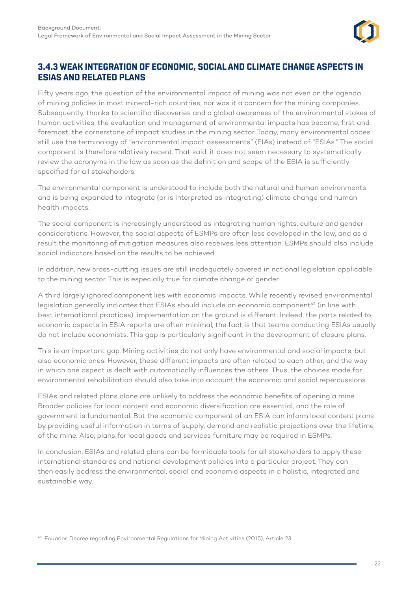

#### <span id="page-26-0"></span>**3.4.3 WEAK INTEGRATION OF ECONOMIC, SOCIAL AND CLIMATE CHANGE ASPECTS IN ESIAS AND RELATED PLANS**

Fifty years ago, the question of the environmental impact of mining was not even on the agenda of mining policies in most mineral-rich countries, nor was it a concern for the mining companies. Subsequently, thanks to scientific discoveries and a global awareness of the environmental stakes of human activities, the evaluation and management of environmental impacts has become, first and foremost, the cornerstone of impact studies in the mining sector. Today, many environmental codes still use the terminology of "environmental impact assessments" (EIAs) instead of "ESIAs." The social component is therefore relatively recent. That said, it does not seem necessary to systematically review the acronyms in the law as soon as the definition and scope of the ESIA is sufficiently specified for all stakeholders.

The environmental component is understood to include both the natural and human environments and is being expanded to integrate (or is interpreted as integrating) climate change and human health impacts.

The social component is increasingly understood as integrating human rights, culture and gender considerations. However, the social aspects of ESMPs are often less developed in the law, and as a result the monitoring of mitigation measures also receives less attention. ESMPs should also include social indicators based on the results to be achieved.

In addition, new cross-cutting issues are still inadequately covered in national legislation applicable to the mining sector. This is especially true for climate change or gender.

A third largely ignored component lies with economic impacts. While recently revised environmental legislation generally indicates that ESIAs should include an economic component<sup>42</sup> (in line with best international practices), implementation on the ground is different. Indeed, the parts related to economic aspects in ESIA reports are often minimal; the fact is that teams conducting ESIAs usually do not include economists. This gap is particularly significant in the development of closure plans.

This is an important gap. Mining activities do not only have environmental and social impacts, but also economic ones. However, these different impacts are often related to each other, and the way in which one aspect is dealt with automatically influences the others. Thus, the choices made for environmental rehabilitation should also take into account the economic and social repercussions.

ESIAs and related plans alone are unlikely to address the economic benefits of opening a mine. Broader policies for local content and economic diversification are essential, and the role of government is fundamental. But the economic component of an ESIA can inform local content plans by providing useful information in terms of supply, demand and realistic projections over the lifetime of the mine. Also, plans for local goods and services furniture may be required in ESMPs.

In conclusion, ESIAs and related plans can be formidable tools for all stakeholders to apply these international standards and national development policies into a particular project. They can then easily address the environmental, social and economic aspects in a holistic, integrated and sustainable way.

<sup>42</sup> Ecuador, Decree regarding Environmental Regulations for Mining Activities (2015), Article 23.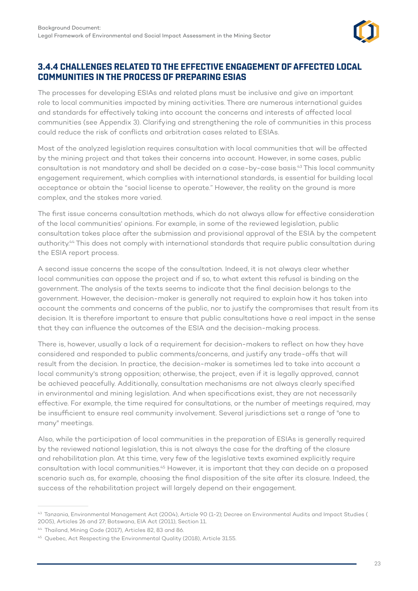

#### <span id="page-27-0"></span>**3.4.4 CHALLENGES RELATED TO THE EFFECTIVE ENGAGEMENT OF AFFECTED LOCAL COMMUNITIES IN THE PROCESS OF PREPARING ESIAS**

The processes for developing ESIAs and related plans must be inclusive and give an important role to local communities impacted by mining activities. There are numerous international guides and standards for effectively taking into account the concerns and interests of affected local communities (see Appendix 3). Clarifying and strengthening the role of communities in this process could reduce the risk of conflicts and arbitration cases related to ESIAs.

Most of the analyzed legislation requires consultation with local communities that will be affected by the mining project and that takes their concerns into account. However, in some cases, public consultation is not mandatory and shall be decided on a case-by-case basis.43 This local community engagement requirement, which complies with international standards, is essential for building local acceptance or obtain the "social license to operate." However, the reality on the ground is more complex, and the stakes more varied.

The first issue concerns consultation methods, which do not always allow for effective consideration of the local communities' opinions. For example, in some of the reviewed legislation, public consultation takes place after the submission and provisional approval of the ESIA by the competent authority.44 This does not comply with international standards that require public consultation during the ESIA report process.

A second issue concerns the scope of the consultation. Indeed, it is not always clear whether local communities can oppose the project and if so, to what extent this refusal is binding on the government. The analysis of the texts seems to indicate that the final decision belongs to the government. However, the decision-maker is generally not required to explain how it has taken into account the comments and concerns of the public, nor to justify the compromises that result from its decision. It is therefore important to ensure that public consultations have a real impact in the sense that they can influence the outcomes of the ESIA and the decision-making process.

There is, however, usually a lack of a requirement for decision-makers to reflect on how they have considered and responded to public comments/concerns, and justify any trade-offs that will result from the decision. In practice, the decision-maker is sometimes led to take into account a local community's strong opposition; otherwise, the project, even if it is legally approved, cannot be achieved peacefully. Additionally, consultation mechanisms are not always clearly specified in environmental and mining legislation. And when specifications exist, they are not necessarily effective. For example, the time required for consultations, or the number of meetings required, may be insufficient to ensure real community involvement. Several jurisdictions set a range of "one to many" meetings.

Also, while the participation of local communities in the preparation of ESIAs is generally required by the reviewed national legislation, this is not always the case for the drafting of the closure and rehabilitation plan. At this time, very few of the legislative texts examined explicitly require consultation with local communities.45 However, it is important that they can decide on a proposed scenario such as, for example, choosing the final disposition of the site after its closure. Indeed, the success of the rehabilitation project will largely depend on their engagement.

<sup>43</sup> Tanzania, Environmental Management Act (2004), Article 90 (1-2); Decree on Environmental Audits and Impact Studies ( 2005), Articles 26 and 27; Botswana, EIA Act (2011), Section 11.

<sup>44</sup> Thailand, Mining Code (2017), Articles 82, 83 and 86.

<sup>&</sup>lt;sup>45</sup> Quebec, Act Respecting the Environmental Quality (2018), Article 31.55.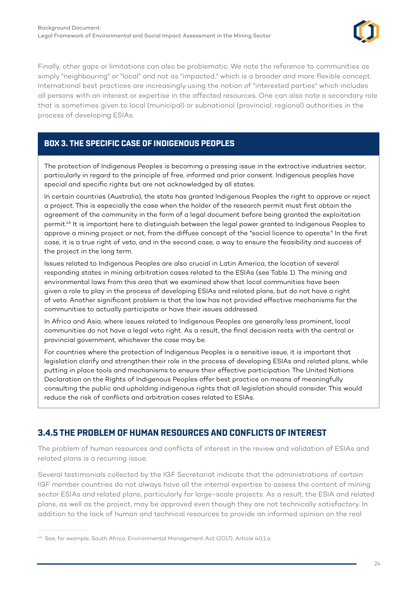

<span id="page-28-0"></span>Finally, other gaps or limitations can also be problematic. We note the reference to communities as simply "neighbouring" or "local" and not as "impacted," which is a broader and more flexible concept. International best practices are increasingly using the notion of "interested parties" which includes all persons with an interest or expertise in the affected resources. One can also note a secondary role that is sometimes given to local (municipal) or subnational (provincial, regional) authorities in the process of developing ESIAs.

#### **BOX 3. THE SPECIFIC CASE OF INDIGENOUS PEOPLES**

The protection of Indigenous Peoples is becoming a pressing issue in the extractive industries sector, particularly in regard to the principle of free, informed and prior consent. Indigenous peoples have special and specific rights but are not acknowledged by all states.

In certain countries (Australia), the state has granted Indigenous Peoples the right to approve or reject a project. This is especially the case when the holder of the research permit must first obtain the agreement of the community in the form of a legal document before being granted the exploitation permit.<sup>46</sup> It is important here to distinguish between the legal power granted to Indigenous Peoples to approve a mining project or not, from the diffuse concept of the "social licence to operate." In the first case, it is a true right of veto, and in the second case, a way to ensure the feasibility and success of the project in the long term.

Issues related to Indigenous Peoples are also crucial in Latin America, the location of several responding states in mining arbitration cases related to the ESIAs (see Table 1). The mining and environmental laws from this area that we examined show that local communities have been given a role to play in the process of developing ESIAs and related plans, but do not have a right of veto. Another significant problem is that the law has not provided effective mechanisms for the communities to actually participate or have their issues addressed.

In Africa and Asia, where issues related to Indigenous Peoples are generally less prominent, local communities do not have a legal veto right. As a result, the final decision rests with the central or provincial government, whichever the case may be.

For countries where the protection of Indigenous Peoples is a sensitive issue, it is important that legislation clarify and strengthen their role in the process of developing ESIAs and related plans, while putting in place tools and mechanisms to ensure their effective participation. The United Nations Declaration on the Rights of Indigenous Peoples offer best practice on means of meaningfully consulting the public and upholding indigenous rights that all legislation should consider. This would reduce the risk of conflicts and arbitration cases related to ESIAs.

## **3.4.5 THE PROBLEM OF HUMAN RESOURCES AND CONFLICTS OF INTEREST**

The problem of human resources and conflicts of interest in the review and validation of ESIAs and related plans is a recurring issue.

Several testimonials collected by the IGF Secretariat indicate that the administrations of certain IGF member countries do not always have all the internal expertise to assess the content of mining sector ESIAs and related plans, particularly for large-scale projects. As a result, the ESIA and related plans, as well as the project, may be approved even though they are not technically satisfactory. In addition to the lack of human and technical resources to provide an informed opinion on the real

<sup>46</sup> See, for example, South Africa, Environmental Management Act (2017), Article 40.1.a.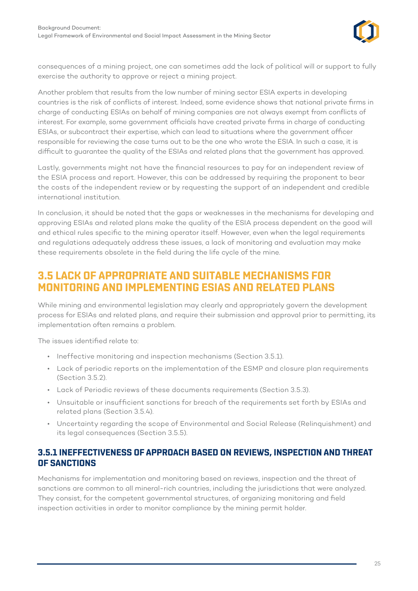

<span id="page-29-0"></span>consequences of a mining project, one can sometimes add the lack of political will or support to fully exercise the authority to approve or reject a mining project.

Another problem that results from the low number of mining sector ESIA experts in developing countries is the risk of conflicts of interest. Indeed, some evidence shows that national private firms in charge of conducting ESIAs on behalf of mining companies are not always exempt from conflicts of interest. For example, some government officials have created private firms in charge of conducting ESIAs, or subcontract their expertise, which can lead to situations where the government officer responsible for reviewing the case turns out to be the one who wrote the ESIA. In such a case, it is difficult to guarantee the quality of the ESIAs and related plans that the government has approved.

Lastly, governments might not have the financial resources to pay for an independent review of the ESIA process and report. However, this can be addressed by requiring the proponent to bear the costs of the independent review or by requesting the support of an independent and credible international institution.

In conclusion, it should be noted that the gaps or weaknesses in the mechanisms for developing and approving ESIAs and related plans make the quality of the ESIA process dependent on the good will and ethical rules specific to the mining operator itself. However, even when the legal requirements and regulations adequately address these issues, a lack of monitoring and evaluation may make these requirements obsolete in the field during the life cycle of the mine.

# **3.5 LACK OF APPROPRIATE AND SUITABLE MECHANISMS FOR MONITORING AND IMPLEMENTING ESIAS AND RELATED PLANS**

While mining and environmental legislation may clearly and appropriately govern the development process for ESIAs and related plans, and require their submission and approval prior to permitting, its implementation often remains a problem.

The issues identified relate to:

- Ineffective monitoring and inspection mechanisms (Section 3.5.1).
- Lack of periodic reports on the implementation of the ESMP and closure plan requirements (Section 3.5.2).
- Lack of Periodic reviews of these documents requirements (Section 3.5.3).
- Unsuitable or insufficient sanctions for breach of the requirements set forth by ESIAs and related plans (Section 3.5.4).
- Uncertainty regarding the scope of Environmental and Social Release (Relinquishment) and its legal consequences (Section 3.5.5).

#### **3.5.1 INEFFECTIVENESS OF APPROACH BASED ON REVIEWS, INSPECTION AND THREAT OF SANCTIONS**

Mechanisms for implementation and monitoring based on reviews, inspection and the threat of sanctions are common to all mineral-rich countries, including the jurisdictions that were analyzed. They consist, for the competent governmental structures, of organizing monitoring and field inspection activities in order to monitor compliance by the mining permit holder.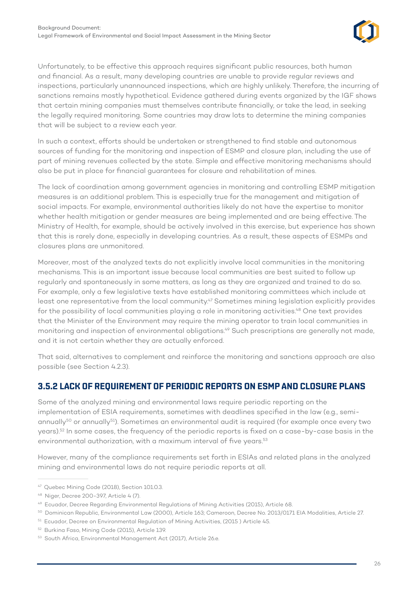

<span id="page-30-0"></span>Unfortunately, to be effective this approach requires significant public resources, both human and financial. As a result, many developing countries are unable to provide regular reviews and inspections, particularly unannounced inspections, which are highly unlikely. Therefore, the incurring of sanctions remains mostly hypothetical. Evidence gathered during events organized by the IGF shows that certain mining companies must themselves contribute financially, or take the lead, in seeking the legally required monitoring. Some countries may draw lots to determine the mining companies that will be subject to a review each year.

In such a context, efforts should be undertaken or strengthened to find stable and autonomous sources of funding for the monitoring and inspection of ESMP and closure plan, including the use of part of mining revenues collected by the state. Simple and effective monitoring mechanisms should also be put in place for financial guarantees for closure and rehabilitation of mines.

The lack of coordination among government agencies in monitoring and controlling ESMP mitigation measures is an additional problem. This is especially true for the management and mitigation of social impacts. For example, environmental authorities likely do not have the expertise to monitor whether health mitigation or gender measures are being implemented and are being effective. The Ministry of Health, for example, should be actively involved in this exercise, but experience has shown that this is rarely done, especially in developing countries. As a result, these aspects of ESMPs and closures plans are unmonitored.

Moreover, most of the analyzed texts do not explicitly involve local communities in the monitoring mechanisms. This is an important issue because local communities are best suited to follow up regularly and spontaneously in some matters, as long as they are organized and trained to do so. For example, only a few legislative texts have established monitoring committees which include at least one representative from the local community.<sup>47</sup> Sometimes mining legislation explicitly provides for the possibility of local communities playing a role in monitoring activities.<sup>48</sup> One text provides that the Minister of the Environment may require the mining operator to train local communities in monitoring and inspection of environmental obligations.<sup>49</sup> Such prescriptions are generally not made, and it is not certain whether they are actually enforced.

That said, alternatives to complement and reinforce the monitoring and sanctions approach are also possible (see Section 4.2.3).

#### **3.5.2 LACK OF REQUIREMENT OF PERIODIC REPORTS ON ESMP AND CLOSURE PLANS**

Some of the analyzed mining and environmental laws require periodic reporting on the implementation of ESIA requirements, sometimes with deadlines specified in the law (e.g., semiannually<sup>50</sup> or annually<sup>51</sup>). Sometimes an environmental audit is required (for example once every two years).52 In some cases, the frequency of the periodic reports is fixed on a case-by-case basis in the environmental authorization, with a maximum interval of five years.<sup>53</sup>

However, many of the compliance requirements set forth in ESIAs and related plans in the analyzed mining and environmental laws do not require periodic reports at all.

<sup>47</sup> Quebec Mining Code (2018), Section 101.0.3.

<sup>48</sup> Niger, Decree 200-397, Article 4 (7).

<sup>49</sup> Ecuador, Decree Regarding Environmental Regulations of Mining Activities (2015), Article 68.

<sup>50</sup> Dominican Republic, Environmental Law (2000), Article 163; Cameroon, Decree No. 2013/0171 EIA Modalities, Article 27.

<sup>51</sup> Ecuador, Decree on Environmental Regulation of Mining Activities, (2015) Article 45.

<sup>52</sup> Burkina Faso, Mining Code (2015), Article 139.

<sup>53</sup> South Africa, Environmental Management Act (2017), Article 26.e.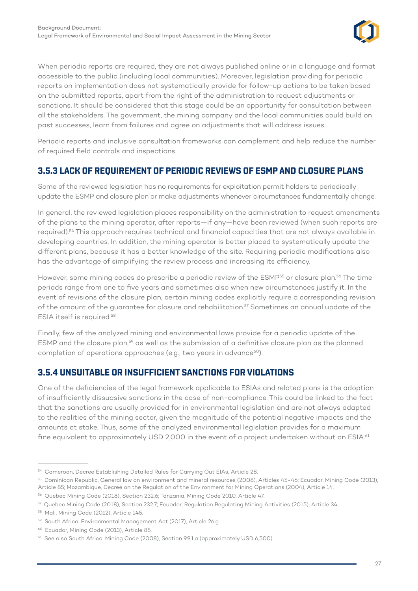

<span id="page-31-0"></span>When periodic reports are required, they are not always published online or in a language and format accessible to the public (including local communities). Moreover, legislation providing for periodic reports on implementation does not systematically provide for follow-up actions to be taken based on the submitted reports, apart from the right of the administration to request adjustments or sanctions. It should be considered that this stage could be an opportunity for consultation between all the stakeholders. The government, the mining company and the local communities could build on past successes, learn from failures and agree on adjustments that will address issues.

Periodic reports and inclusive consultation frameworks can complement and help reduce the number of required field controls and inspections.

## **3.5.3 LACK OF REQUIREMENT OF PERIODIC REVIEWS OF ESMP AND CLOSURE PLANS**

Some of the reviewed legislation has no requirements for exploitation permit holders to periodically update the ESMP and closure plan or make adjustments whenever circumstances fundamentally change.

In general, the reviewed legislation places responsibility on the administration to request amendments of the plans to the mining operator, after reports—if any—have been reviewed (when such reports are required).54 This approach requires technical and financial capacities that are not always available in developing countries. In addition, the mining operator is better placed to systematically update the different plans, because it has a better knowledge of the site. Requiring periodic modifications also has the advantage of simplifying the review process and increasing its efficiency.

However, some mining codes do prescribe a periodic review of the ESMP<sup>55</sup> or closure plan.<sup>56</sup> The time periods range from one to five years and sometimes also when new circumstances justify it. In the event of revisions of the closure plan, certain mining codes explicitly require a corresponding revision of the amount of the guarantee for closure and rehabilitation.57 Sometimes an annual update of the ESIA itself is required.58

Finally, few of the analyzed mining and environmental laws provide for a periodic update of the ESMP and the closure plan,59 as well as the submission of a definitive closure plan as the planned completion of operations approaches (e.g., two years in advance<sup>60</sup>).

#### **3.5.4 UNSUITABLE OR INSUFFICIENT SANCTIONS FOR VIOLATIONS**

One of the deficiencies of the legal framework applicable to ESIAs and related plans is the adoption of insufficiently dissuasive sanctions in the case of non-compliance. This could be linked to the fact that the sanctions are usually provided for in environmental legislation and are not always adapted to the realities of the mining sector, given the magnitude of the potential negative impacts and the amounts at stake. Thus, some of the analyzed environmental legislation provides for a maximum fine equivalent to approximately USD 2,000 in the event of a project undertaken without an ESIA.<sup>61</sup>

<sup>54</sup> Cameroon, Decree Establishing Detailed Rules for Carrying Out EIAs, Article 28.

<sup>55</sup> Dominican Republic, General law on environment and mineral resources (2008), Articles 45-46; Ecuador, Mining Code (2013), Article 85; Mozambique, Decree on the Regulation of the Environment for Mining Operations (2004), Article 14.

<sup>56</sup> Quebec Mining Code (2018), Section 232.6; Tanzania, Mining Code 2010, Article 47.

<sup>57</sup> Quebec Mining Code (2018), Section 232.7; Ecuador, Regulation Regulating Mining Activities (2015), Article 34.

<sup>58</sup> Mali, Mining Code (2012), Article 145.

<sup>59</sup> South Africa, Environmental Management Act (2017), Article 26.g.

<sup>60</sup> Ecuador, Mining Code (2013), Article 85.

<sup>&</sup>lt;sup>61</sup> See also South Africa, Mining Code (2008), Section 99.1.a (approximately USD 6,500).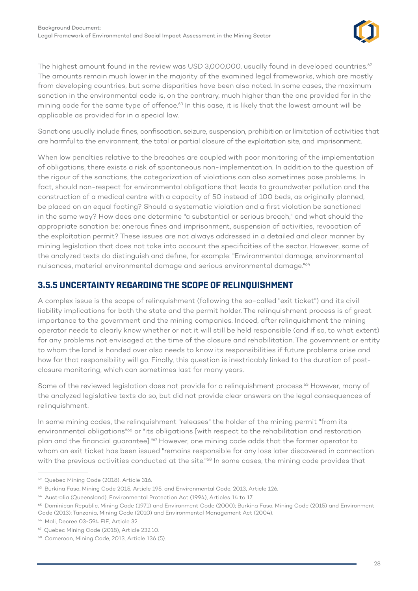

<span id="page-32-0"></span>The highest amount found in the review was USD 3,000,000, usually found in developed countries.<sup>62</sup> The amounts remain much lower in the majority of the examined legal frameworks, which are mostly from developing countries, but some disparities have been also noted. In some cases, the maximum sanction in the environmental code is, on the contrary, much higher than the one provided for in the mining code for the same type of offence.<sup>63</sup> In this case, it is likely that the lowest amount will be applicable as provided for in a special law.

Sanctions usually include fines, confiscation, seizure, suspension, prohibition or limitation of activities that are harmful to the environment, the total or partial closure of the exploitation site, and imprisonment.

When low penalties relative to the breaches are coupled with poor monitoring of the implementation of obligations, there exists a risk of spontaneous non-implementation. In addition to the question of the rigour of the sanctions, the categorization of violations can also sometimes pose problems. In fact, should non-respect for environmental obligations that leads to groundwater pollution and the construction of a medical centre with a capacity of 50 instead of 100 beds, as originally planned, be placed on an equal footing? Should a systematic violation and a first violation be sanctioned in the same way? How does one determine "a substantial or serious breach," and what should the appropriate sanction be: onerous fines and imprisonment, suspension of activities, revocation of the exploitation permit? These issues are not always addressed in a detailed and clear manner by mining legislation that does not take into account the specificities of the sector. However, some of the analyzed texts do distinguish and define, for example: "Environmental damage, environmental nuisances, material environmental damage and serious environmental damage."64

#### **3.5.5 UNCERTAINTY REGARDING THE SCOPE OF RELINQUISHMENT**

A complex issue is the scope of relinquishment (following the so-called "exit ticket") and its civil liability implications for both the state and the permit holder. The relinquishment process is of great importance to the government and the mining companies. Indeed, after relinquishment the mining operator needs to clearly know whether or not it will still be held responsible (and if so, to what extent) for any problems not envisaged at the time of the closure and rehabilitation. The government or entity to whom the land is handed over also needs to know its responsibilities if future problems arise and how far that responsibility will go. Finally, this question is inextricably linked to the duration of postclosure monitoring, which can sometimes last for many years.

Some of the reviewed legislation does not provide for a relinquishment process.<sup>65</sup> However, many of the analyzed legislative texts do so, but did not provide clear answers on the legal consequences of relinquishment.

In some mining codes, the relinquishment "releases" the holder of the mining permit "from its environmental obligations"<sup>66</sup> or "its obligations [with respect to the rehabilitation and restoration plan and the financial guarantee]."67 However, one mining code adds that the former operator to whom an exit ticket has been issued "remains responsible for any loss later discovered in connection with the previous activities conducted at the site."<sup>68</sup> In some cases, the mining code provides that

<sup>&</sup>lt;sup>62</sup> Quebec Mining Code (2018), Article 316.

<sup>&</sup>lt;sup>63</sup> Burkina Faso, Mining Code 2015, Article 195, and Environmental Code, 2013, Article 126.

<sup>64</sup> Australia (Queensland), Environmental Protection Act (1994), Articles 14 to 17.

<sup>&</sup>lt;sup>65</sup> Dominican Republic, Mining Code (1971) and Environment Code (2000); Burkina Faso, Mining Code (2015) and Environment Code (2013); Tanzania, Mining Code (2010) and Environmental Management Act (2004).

<sup>66</sup> Mali, Decree 03-594 EIE, Article 32.

<sup>67</sup> Quebec Mining Code (2018), Article 232.10.

<sup>68</sup> Cameroon, Mining Code, 2013, Article 136 (5).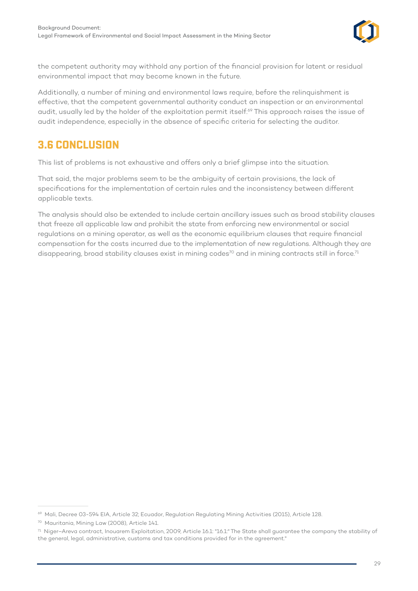

<span id="page-33-0"></span>the competent authority may withhold any portion of the financial provision for latent or residual environmental impact that may become known in the future.

Additionally, a number of mining and environmental laws require, before the relinquishment is effective, that the competent governmental authority conduct an inspection or an environmental audit, usually led by the holder of the exploitation permit itself.<sup>69</sup> This approach raises the issue of audit independence, especially in the absence of specific criteria for selecting the auditor.

# **3.6 CONCLUSION**

This list of problems is not exhaustive and offers only a brief glimpse into the situation.

That said, the major problems seem to be the ambiguity of certain provisions, the lack of specifications for the implementation of certain rules and the inconsistency between different applicable texts.

The analysis should also be extended to include certain ancillary issues such as broad stability clauses that freeze all applicable law and prohibit the state from enforcing new environmental or social regulations on a mining operator, as well as the economic equilibrium clauses that require financial compensation for the costs incurred due to the implementation of new regulations. Although they are disappearing, broad stability clauses exist in mining codes<sup>70</sup> and in mining contracts still in force.<sup>71</sup>

<sup>69</sup> Mali, Decree 03-594 EIA, Article 32; Ecuador, Regulation Regulating Mining Activities (2015), Article 128.

<sup>70</sup> Mauritania, Mining Law (2008), Article 141.

 $71$  Niger–Areva contract, Inouarem Exploitation, 2009, Article 16.1: "16.1:" The State shall guarantee the company the stability of the general, legal, administrative, customs and tax conditions provided for in the agreement."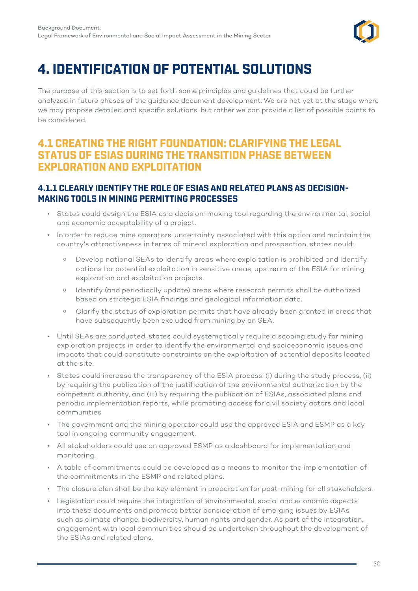

# <span id="page-34-0"></span>**4. IDENTIFICATION OF POTENTIAL SOLUTIONS**

The purpose of this section is to set forth some principles and guidelines that could be further analyzed in future phases of the guidance document development. We are not yet at the stage where we may propose detailed and specific solutions, but rather we can provide a list of possible points to be considered.

# **4.1 CREATING THE RIGHT FOUNDATION: CLARIFYING THE LEGAL STATUS OF ESIAS DURING THE TRANSITION PHASE BETWEEN EXPLORATION AND EXPLOITATION**

#### **4.1.1 CLEARLY IDENTIFY THE ROLE OF ESIAS AND RELATED PLANS AS DECISION-MAKING TOOLS IN MINING PERMITTING PROCESSES**

- States could design the ESIA as a decision-making tool regarding the environmental, social and economic acceptability of a project.
- In order to reduce mine operators' uncertainty associated with this option and maintain the country's attractiveness in terms of mineral exploration and prospection, states could:
	- ⁰ Develop national SEAs to identify areas where exploitation is prohibited and identify options for potential exploitation in sensitive areas, upstream of the ESIA for mining exploration and exploitation projects.
	- ⁰ Identify (and periodically update) areas where research permits shall be authorized based on strategic ESIA findings and geological information data.
	- ⁰ Clarify the status of exploration permits that have already been granted in areas that have subsequently been excluded from mining by an SEA.
- Until SEAs are conducted, states could systematically require a scoping study for mining exploration projects in order to identify the environmental and socioeconomic issues and impacts that could constitute constraints on the exploitation of potential deposits located at the site.
- States could increase the transparency of the ESIA process: (i) during the study process, (ii) by requiring the publication of the justification of the environmental authorization by the competent authority, and (iii) by requiring the publication of ESIAs, associated plans and periodic implementation reports, while promoting access for civil society actors and local communities
- The government and the mining operator could use the approved ESIA and ESMP as a key tool in ongoing community engagement.
- All stakeholders could use an approved ESMP as a dashboard for implementation and monitoring.
- A table of commitments could be developed as a means to monitor the implementation of the commitments in the ESMP and related plans.
- The closure plan shall be the key element in preparation for post-mining for all stakeholders.
- Legislation could require the integration of environmental, social and economic aspects into these documents and promote better consideration of emerging issues by ESIAs such as climate change, biodiversity, human rights and gender. As part of the integration, engagement with local communities should be undertaken throughout the development of the ESIAs and related plans.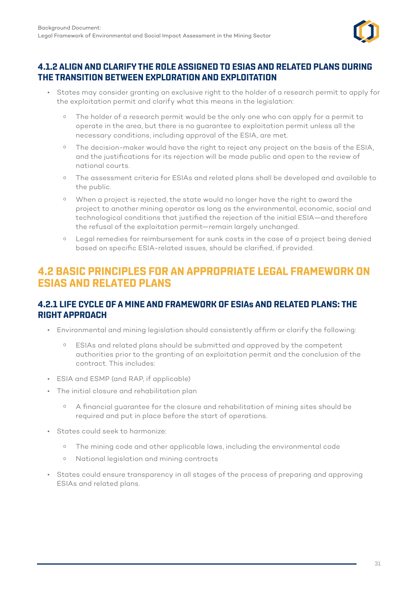

#### <span id="page-35-0"></span>**4.1.2 ALIGN AND CLARIFY THE ROLE ASSIGNED TO ESIAS AND RELATED PLANS DURING THE TRANSITION BETWEEN EXPLORATION AND EXPLOITATION**

- States may consider granting an exclusive right to the holder of a research permit to apply for the exploitation permit and clarify what this means in the legislation:
	- <sup>o</sup> The holder of a research permit would be the only one who can apply for a permit to operate in the area, but there is no guarantee to exploitation permit unless all the necessary conditions, including approval of the ESIA, are met.
	- <sup>o</sup> The decision-maker would have the right to reject any project on the basis of the ESIA, and the justifications for its rejection will be made public and open to the review of national courts.
	- ⁰ The assessment criteria for ESIAs and related plans shall be developed and available to the public.
	- ⁰ When a project is rejected, the state would no longer have the right to award the project to another mining operator as long as the environmental, economic, social and technological conditions that justified the rejection of the initial ESIA—and therefore the refusal of the exploitation permit—remain largely unchanged.
	- ⁰ Legal remedies for reimbursement for sunk costs in the case of a project being denied based on specific ESIA-related issues, should be clarified, if provided.

# **4.2 BASIC PRINCIPLES FOR AN APPROPRIATE LEGAL FRAMEWORK ON ESIAS AND RELATED PLANS**

#### **4.2.1 LIFE CYCLE OF A MINE AND FRAMEWORK OF ESIAs AND RELATED PLANS: THE RIGHT APPROACH**

- Environmental and mining legislation should consistently affirm or clarify the following:
	- ⁰ ESIAs and related plans should be submitted and approved by the competent authorities prior to the granting of an exploitation permit and the conclusion of the contract. This includes:
- ESIA and ESMP (and RAP, if applicable)
- The initial closure and rehabilitation plan
	- ⁰ A financial guarantee for the closure and rehabilitation of mining sites should be required and put in place before the start of operations.
- States could seek to harmonize:
	- o The mining code and other applicable laws, including the environmental code
	- ⁰ National legislation and mining contracts
- States could ensure transparency in all stages of the process of preparing and approving ESIAs and related plans.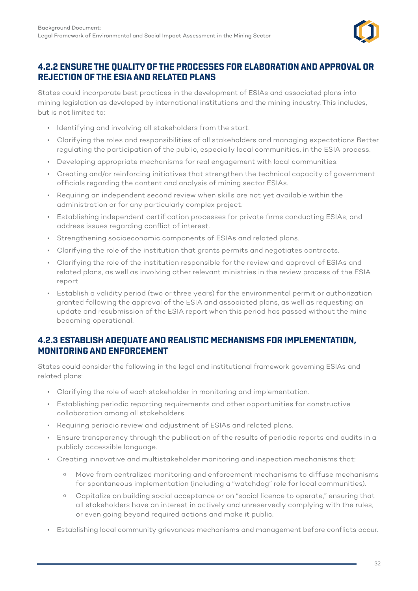

#### <span id="page-36-0"></span>**4.2.2 ENSURE THE QUALITY OF THE PROCESSES FOR ELABORATION AND APPROVAL OR REJECTION OF THE ESIA AND RELATED PLANS**

States could incorporate best practices in the development of ESIAs and associated plans into mining legislation as developed by international institutions and the mining industry. This includes, but is not limited to:

- Identifying and involving all stakeholders from the start.
- Clarifying the roles and responsibilities of all stakeholders and managing expectations Better regulating the participation of the public, especially local communities, in the ESIA process.
- Developing appropriate mechanisms for real engagement with local communities.
- Creating and/or reinforcing initiatives that strengthen the technical capacity of government officials regarding the content and analysis of mining sector ESIAs.
- Requiring an independent second review when skills are not yet available within the administration or for any particularly complex project.
- Establishing independent certification processes for private firms conducting ESIAs, and address issues regarding conflict of interest.
- Strengthening socioeconomic components of ESIAs and related plans.
- Clarifying the role of the institution that grants permits and negotiates contracts.
- Clarifying the role of the institution responsible for the review and approval of ESIAs and related plans, as well as involving other relevant ministries in the review process of the ESIA report.
- Establish a validity period (two or three years) for the environmental permit or authorization granted following the approval of the ESIA and associated plans, as well as requesting an update and resubmission of the ESIA report when this period has passed without the mine becoming operational.

#### **4.2.3 ESTABLISH ADEQUATE AND REALISTIC MECHANISMS FOR IMPLEMENTATION, MONITORING AND ENFORCEMENT**

States could consider the following in the legal and institutional framework governing ESIAs and related plans:

- Clarifying the role of each stakeholder in monitoring and implementation.
- Establishing periodic reporting requirements and other opportunities for constructive collaboration among all stakeholders.
- Requiring periodic review and adjustment of ESIAs and related plans.
- Ensure transparency through the publication of the results of periodic reports and audits in a publicly accessible language.
- Creating innovative and multistakeholder monitoring and inspection mechanisms that:
	- ⁰ Move from centralized monitoring and enforcement mechanisms to diffuse mechanisms for spontaneous implementation (including a "watchdog" role for local communities).
	- ⁰ Capitalize on building social acceptance or on "social licence to operate," ensuring that all stakeholders have an interest in actively and unreservedly complying with the rules, or even going beyond required actions and make it public.
- Establishing local community grievances mechanisms and management before conflicts occur.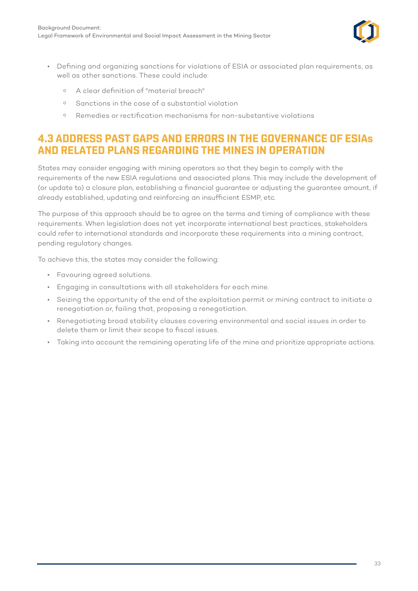

- <span id="page-37-0"></span>• Defining and organizing sanctions for violations of ESIA or associated plan requirements, as well as other sanctions. These could include:
	- ⁰ A clear definition of "material breach"
	- ⁰ Sanctions in the case of a substantial violation
	- ⁰ Remedies or rectification mechanisms for non-substantive violations

# **4.3 ADDRESS PAST GAPS AND ERRORS IN THE GOVERNANCE OF ESIAs AND RELATED PLANS REGARDING THE MINES IN OPERATION**

States may consider engaging with mining operators so that they begin to comply with the requirements of the new ESIA regulations and associated plans. This may include the development of (or update to) a closure plan, establishing a financial guarantee or adjusting the guarantee amount, if already established, updating and reinforcing an insufficient ESMP, etc.

The purpose of this approach should be to agree on the terms and timing of compliance with these requirements. When legislation does not yet incorporate international best practices, stakeholders could refer to international standards and incorporate these requirements into a mining contract, pending regulatory changes.

To achieve this, the states may consider the following:

- Favouring agreed solutions.
- Engaging in consultations with all stakeholders for each mine.
- Seizing the opportunity of the end of the exploitation permit or mining contract to initiate a renegotiation or, failing that, proposing a renegotiation.
- Renegotiating broad stability clauses covering environmental and social issues in order to delete them or limit their scope to fiscal issues.
- Taking into account the remaining operating life of the mine and prioritize appropriate actions.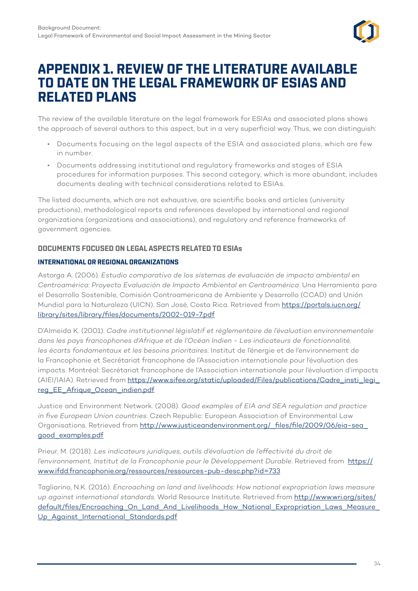

# <span id="page-38-0"></span>**APPENDIX 1. REVIEW OF THE LITERATURE AVAILABLE TO DATE ON THE LEGAL FRAMEWORK OF ESIAS AND RELATED PLANS**

The review of the available literature on the legal framework for ESIAs and associated plans shows the approach of several authors to this aspect, but in a very superficial way. Thus, we can distinguish:

- Documents focusing on the legal aspects of the ESIA and associated plans, which are few in number.
- Documents addressing institutional and regulatory frameworks and stages of ESIA procedures for information purposes. This second category, which is more abundant, includes documents dealing with technical considerations related to ESIAs.

The listed documents, which are not exhaustive, are scientific books and articles (university productions), methodological reports and references developed by international and regional organizations (organizations and associations), and regulatory and reference frameworks of government agencies.

#### **DOCUMENTS FOCUSED ON LEGAL ASPECTS RELATED TO ESIAs**

#### **INTERNATIONAL OR REGIONAL ORGANIZATIONS**

Astorga A. (2006). *Estudio comparativo de los sistemas de evaluación de impacto ambiental en Centroamérica: Proyecto Evaluación de Impacto Ambiental en Centroamérica*. Una Herramienta para el Desarrollo Sostenible, Comisión Controamericana de Ambiente y Desarrollo (CCAD) and Unión Mundial para la Naturaleza (UICN). San José, Costa Rica. Retrieved from [https://portals.iucn.org/](https://portals.iucn.org/library/sites/library/files/documents/2002-019-7.pdf) [library/sites/library/files/documents/2002-019-7.pdf](https://portals.iucn.org/library/sites/library/files/documents/2002-019-7.pdf)

D'Almeida K. (2001). *Cadre institutionnel législatif et réglementaire de l'évaluation environnementale dans les pays francophones d'Afrique et de l'Océan Indien - Les indicateurs de fonctionnalité, les écarts fondamentaux et les besoins prioritaires*. Institut de l'énergie et de l'environnement de la Francophonie et Secrétariat francophone de l'Association internationale pour l'évaluation des impacts. Montréal: Secrétariat francophone de l'Association internationale pour l'évaluation d'impacts (AIEI/IAIA). Retrieved from [https://www.sifee.org/static/uploaded/Files/publications/Cadre\\_insti\\_legi\\_](https://www.sifee.org/static/uploaded/Files/publications/Cadre_insti_legi_reg_EE_Afrique_Ocean_indien.pdf) [reg\\_EE\\_Afrique\\_Ocean\\_indien.pdf](https://www.sifee.org/static/uploaded/Files/publications/Cadre_insti_legi_reg_EE_Afrique_Ocean_indien.pdf)

Justice and Environment Network. (2008). *Good examples of EIA and SEA regulation and practice in five European Union countries*. Czech Republic: European Association of Environmental Law Organisations. Retrieved from http://www.justiceandenvironment.org/\_files/file/2009/06/eia-sea [good\\_examples.pdf](http://www.justiceandenvironment.org/_files/file/2009/06/eia-sea_good_examples.pdf)

Prieur, M. (2018). *Les indicateurs juridiques, outils d'évaluation de l'effectivité du droit de l'environnement, Institut de la Francophonie pour le Développement Durable*. Retrieved from [https://](https://www.ifdd.francophonie.org/ressources/ressources-pub-desc.php?id=733) [www.ifdd.francophonie.org/ressources/ressources-pub-desc.php?id=733](https://www.ifdd.francophonie.org/ressources/ressources-pub-desc.php?id=733)

Tagliarino, N.K. (2016). *Encroaching on land and livelihoods: How national expropriation laws measure up against international standards*. World Resource Institute. Retrieved from [http://www.wri.org/sites/](http://www.wri.org/sites/default/files/Encroaching_On_Land_And_Livelihoods_How_National_Expropriation_Laws_Measure_Up_Against_International_Standards.pdf) default/files/Encroaching On Land And Livelihoods How National Expropriation Laws Measure [Up\\_Against\\_International\\_Standards.pdf](http://www.wri.org/sites/default/files/Encroaching_On_Land_And_Livelihoods_How_National_Expropriation_Laws_Measure_Up_Against_International_Standards.pdf)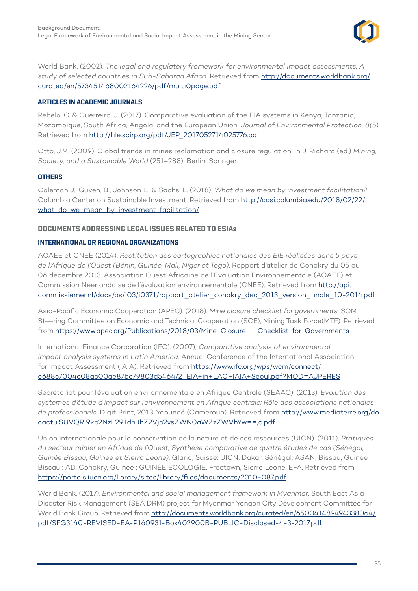

World Bank. (2002). *The legal and regulatory framework for environmental impact assessments: A study of selected countries in Sub-Saharan Africa*. Retrieved from [http://documents.worldbank.org/](http://documents.worldbank.org/curated/en/573451468002164226/pdf/multi0page.pdf) [curated/en/573451468002164226/pdf/multi0page.pdf](http://documents.worldbank.org/curated/en/573451468002164226/pdf/multi0page.pdf)

#### **ARTICLES IN ACADEMIC JOURNALS**

Rebelo, C. & Guerreiro, J. (2017). Comparative evaluation of the EIA systems in Kenya, Tanzania, Mozambique, South Africa, Angola, and the European Union. *Journal of Environmental Protection, 8(*5). Retrieved from [http://file.scirp.org/pdf/JEP\\_2017052714025776.pdf](http://file.scirp.org/pdf/JEP_2017052714025776.pdf)

Otto, J.M. (2009). Global trends in mines reclamation and closure regulation. In J. Richard (ed.) *Mining, Society, and a Sustainable World* (251–288), Berlin: Springer.

#### **OTHERS**

Coleman J., Guven, B., Johnson L., & Sachs, L. (2018). *What do we mean by investment facilitation?* Columbia Center on Sustainable Investment. Retrieved from [http://ccsi.columbia.edu/2018/02/22/](http://ccsi.columbia.edu/2018/02/22/what-do-we-mean-by-investment-facilitation/) [what-do-we-mean-by-investment-facilitation/](http://ccsi.columbia.edu/2018/02/22/what-do-we-mean-by-investment-facilitation/)

#### **DOCUMENTS ADDRESSING LEGAL ISSUES RELATED TO ESIAs**

#### **INTERNATIONAL OR REGIONAL ORGANIZATIONS**

AOAEE et CNEE (2014). *Restitution des cartographies nationales des EIE réalisées dans 5 pays de l'Afrique de l'Ouest (Bénin, Guinée, Mali, Niger et Togo)*. Rapport d'atelier de Conakry du 05 au 06 décembre 2013. Association Ouest Africaine de l'Evaluation Environnementale (AOAEE) et Commission Néerlandaise de l'évaluation environnementale (CNEE). Retrieved from [http://api.](http://api.commissiemer.nl/docs/os/i03/i0371/rapport_atelier_conakry_dec_2013_version_finale_10-2014.pdf) [commissiemer.nl/docs/os/i03/i0371/rapport\\_atelier\\_conakry\\_dec\\_2013\\_version\\_finale\\_10-2014.pdf](http://api.commissiemer.nl/docs/os/i03/i0371/rapport_atelier_conakry_dec_2013_version_finale_10-2014.pdf)

Asia-Pacific Economic Cooperation (APEC). (2018). *Mine closure checklist for governments*. SOM Steering Committee on Economic and Technical Cooperation (SCE), Mining Task Force(MTF). Retrieved from <https://www.apec.org/Publications/2018/03/Mine-Closure---Checklist-for-Governments>

International Finance Corporation (IFC). (2007), *Comparative analysis of environmental impact analysis systems in Latin America*. Annual Conference of the International Association for Impact Assessment (IAIA). Retrieved from [https://www.ifc.org/wps/wcm/connect/](https://www.ifc.org/wps/wcm/connect/c688c7004c08ac00ae87be79803d5464/2_EIA+in+LAC+IAIA+Seoul.pdf?MOD=AJPERES) [c688c7004c08ac00ae87be79803d5464/2\\_EIA+in+LAC+IAIA+Seoul.pdf?MOD=AJPERES](https://www.ifc.org/wps/wcm/connect/c688c7004c08ac00ae87be79803d5464/2_EIA+in+LAC+IAIA+Seoul.pdf?MOD=AJPERES)

Secrétariat pour l'évaluation environnementale en Afrique Centrale (SEAAC). (2013). *Evolution des systèmes d'étude d'impact sur l'environnement en Afrique centrale: Rôle des associations nationales de professionnels*. Digit Print, 2013. Yaoundé (Cameroun). Retrieved from [http://www.mediaterre.org/do](http://www.mediaterre.org/docactu,SUVQRi9kb2NzL291dnJhZ2Vjb2xsZWN0aWZzZWVhYw==,6.pdf) [cactu,SUVQRi9kb2NzL291dnJhZ2Vjb2xsZWN0aWZzZWVhYw==,6.pdf](http://www.mediaterre.org/docactu,SUVQRi9kb2NzL291dnJhZ2Vjb2xsZWN0aWZzZWVhYw==,6.pdf)

Union internationale pour la conservation de la nature et de ses ressources (UICN). (2011). *Pratiques du secteur minier en Afrique de l'Ouest, Synthèse comparative de quatre études de cas (Sénégal, Guinée Bissau, Guinée et Sierra Leone)*. Gland, Suisse: UICN, Dakar, Sénégal: ASAN, Bissau, Guinée Bissau : AD, Conakry, Guinée : GUINÉE ECOLOGIE, Freetown, Sierra Leone: EFA. Retrieved from <https://portals.iucn.org/library/sites/library/files/documents/2010-087.pdf>

World Bank. (2017). *Environmental and social management framework in Myanmar*. South East Asia Disaster Risk Management (SEA DRM) project for Myanmar. Yangon City Development Committee for World Bank Group. Retrieved from [http://documents.worldbank.org/curated/en/650041489494338064/](http://documents.worldbank.org/curated/en/650041489494338064/pdf/SFG3140-REVISED-EA-P160931-Box402900B-PUBLIC-Disclosed-4-3-2017.pdf) [pdf/SFG3140-REVISED-EA-P160931-Box402900B-PUBLIC-Disclosed-4-3-2017.pdf](http://documents.worldbank.org/curated/en/650041489494338064/pdf/SFG3140-REVISED-EA-P160931-Box402900B-PUBLIC-Disclosed-4-3-2017.pdf)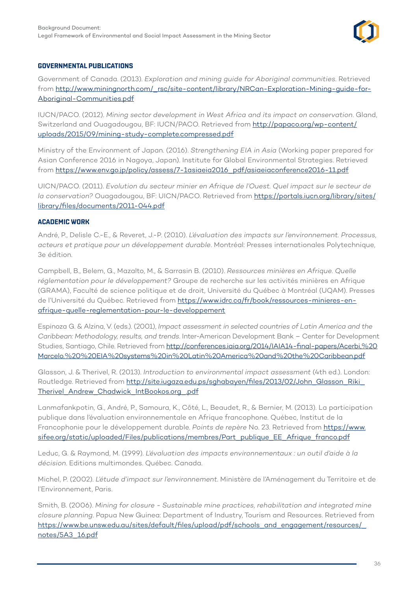

#### **GOVERNMENTAL PUBLICATIONS**

Government of Canada. (2013). *Exploration and mining guide for Aboriginal communities*. Retrieved from [http://www.miningnorth.com/\\_rsc/site-content/library/NRCan-Exploration-Mining-guide-for-](http://www.miningnorth.com/_rsc/site-content/library/NRCan-Exploration-Mining-guide-for-Aboriginal-Communities.pdf)[Aboriginal-Communities.pdf](http://www.miningnorth.com/_rsc/site-content/library/NRCan-Exploration-Mining-guide-for-Aboriginal-Communities.pdf)

IUCN/PACO. (2012). *Mining sector development in West Africa and its impact on conservation*. Gland, Switzerland and Ouagadougou, BF: IUCN/PACO. Retrieved from [http://papaco.org/wp-content/](http://papaco.org/wp-content/uploads/2015/09/mining-study-complete.compressed.pdf) [uploads/2015/09/mining-study-complete.compressed.pdf](http://papaco.org/wp-content/uploads/2015/09/mining-study-complete.compressed.pdf)

Ministry of the Environment of Japan. (2016). *Strengthening EIA in Asia* (Working paper prepared for Asian Conference 2016 in Nagoya, Japan). Institute for Global Environmental Strategies. Retrieved from [https://www.env.go.jp/policy/assess/7-1asiaeia2016\\_pdf/asiaeiaconference2016-11.pdf](https://www.env.go.jp/policy/assess/7-1asiaeia2016_pdf/asiaeiaconference2016-11.pdf)

UICN/PACO. (2011). *Evolution du secteur minier en Afrique de l'Ouest. Quel impact sur le secteur de la conservation?* Ouagadougou, BF: UICN/PACO. Retrieved from [https://portals.iucn.org/library/sites/](https://portals.iucn.org/library/sites/library/files/documents/2011-044.pdf) [library/files/documents/2011-044.pdf](https://portals.iucn.org/library/sites/library/files/documents/2011-044.pdf)

#### **ACADEMIC WORK**

André, P., Delisle C.-E., & Reveret, J.-P. (2010). *L'évaluation des impacts sur l'environnement. Processus, acteurs et pratique pour un développement durable*. Montréal: Presses internationales Polytechnique, 3e édition.

Campbell, B., Belem, G., Mazalto, M., & Sarrasin B. (2010). *Ressources minières en Afrique. Quelle réglementation pour le développement?* Groupe de recherche sur les activités minières en Afrique (GRAMA), Faculté de science politique et de droit, Université du Québec à Montréal (UQAM). Presses de l'Université du Québec. Retrieved from [https://www.idrc.ca/fr/book/ressources-minieres-en](https://www.idrc.ca/fr/book/ressources-minieres-en-afrique-quelle-reglementation-pour-le-developpement)[afrique-quelle-reglementation-pour-le-developpement](https://www.idrc.ca/fr/book/ressources-minieres-en-afrique-quelle-reglementation-pour-le-developpement)

Espinoza G. & Alzina, V. (eds.). (2001), *Impact assessment in selected countries of Latin America and the Caribbean: Methodology, results, and trends*. Inter-American Development Bank – Center for Development Studies, Santiago, Chile. Retrieved from [http://conferences.iaia.org/2014/IAIA14-final-papers/Acerbi,%20](http://conferences.iaia.org/2014/IAIA14-final-papers/Acerbi,%20Marcelo.%20%20EIA%20systems%20in%20Latin%20America%20and%20the%20Caribbean.pdf) [Marcelo.%20%20EIA%20systems%20in%20Latin%20America%20and%20the%20Caribbean.pdf](http://conferences.iaia.org/2014/IAIA14-final-papers/Acerbi,%20Marcelo.%20%20EIA%20systems%20in%20Latin%20America%20and%20the%20Caribbean.pdf)

Glasson, J. & Therivel, R. (2013). *Introduction to environmental impact assessment* (4th ed.). London: Routledge. Retrieved from [http://site.iugaza.edu.ps/sghabayen/files/2013/02/John\\_Glasson\\_Riki\\_](http://site.iugaza.edu.ps/sghabayen/files/2013/02/John_Glasson_Riki_Therivel_Andrew_Chadwick_IntBookos.org_.pdf) [Therivel\\_Andrew\\_Chadwick\\_IntBookos.org\\_.pdf](http://site.iugaza.edu.ps/sghabayen/files/2013/02/John_Glasson_Riki_Therivel_Andrew_Chadwick_IntBookos.org_.pdf)

Lanmafankpotin, G., André, P., Samoura, K., Côté, L., Beaudet, R., & Bernier, M. (2013). La participation publique dans l'évaluation environnementale en Afrique francophone. Québec, Institut de la Francophonie pour le développement durable. *Points de repère* No. 23. Retrieved from [https://www.](https://www.sifee.org/static/uploaded/Files/publications/membres/Part_publique_EE_Afrique_franco.pdf) [sifee.org/static/uploaded/Files/publications/membres/Part\\_publique\\_EE\\_Afrique\\_franco.pdf](https://www.sifee.org/static/uploaded/Files/publications/membres/Part_publique_EE_Afrique_franco.pdf)

Leduc, G. & Raymond, M. (1999). *L'évaluation des impacts environnementaux : un outil d'aide à la décision*. Editions multimondes. Québec. Canada.

Michel, P. (2002). *L'étude d'impact sur l'environnement*. Ministère de l'Aménagement du Territoire et de l'Environnement, Paris.

Smith, B. (2006). *Mining for closure - Sustainable mine practices, rehabilitation and integrated mine closure planning*. Papua New Guinea: Department of Industry, Tourism and Resources. Retrieved from [https://www.be.unsw.edu.au/sites/default/files/upload/pdf/schools\\_and\\_engagement/resources/\\_](https://www.be.unsw.edu.au/sites/default/files/upload/pdf/schools_and_engagement/resources/_notes/5A3_16.pdf) [notes/5A3\\_16.pdf](https://www.be.unsw.edu.au/sites/default/files/upload/pdf/schools_and_engagement/resources/_notes/5A3_16.pdf)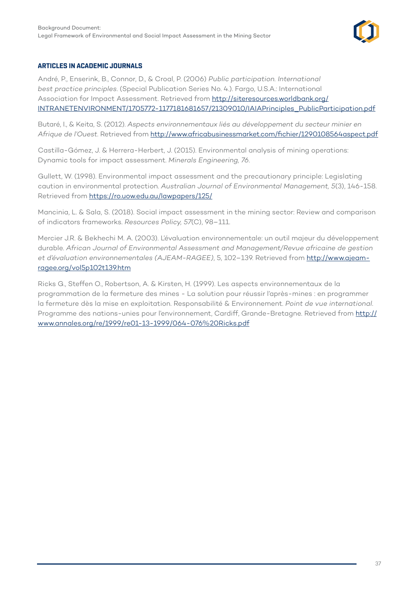

#### **ARTICLES IN ACADEMIC JOURNALS**

André, P., Enserink, B., Connor, D., & Croal, P. (2006) *Public participation. International best practice principles*. (Special Publication Series No. 4.). Fargo, U.S.A.: International Association for Impact Assessment. Retrieved from [http://siteresources.worldbank.org/](http://siteresources.worldbank.org/INTRANETENVIRONMENT/1705772-1177181681657/21309010/IAIAPrinciples_PublicParticipation.pdf) [INTRANETENVIRONMENT/1705772-1177181681657/21309010/IAIAPrinciples\\_PublicParticipation.pdf](http://siteresources.worldbank.org/INTRANETENVIRONMENT/1705772-1177181681657/21309010/IAIAPrinciples_PublicParticipation.pdf)

Butaré, I., & Keita, S. (2012). *Aspects environnementaux liés au développement du secteur minier en Afrique de l'Ouest*. Retrieved from<http://www.africabusinessmarket.com/fichier/1290108564aspect.pdf>

Castilla-Gómez, J. & Herrera-Herbert, J. (2015). Environmental analysis of mining operations: Dynamic tools for impact assessment. *Minerals Engineering, 76*.

Gullett, W. (1998). Environmental impact assessment and the precautionary principle: Legislating caution in environmental protection. *Australian Journal of Environmental Management, 5*(3), 146-158. Retrieved from<https://ro.uow.edu.au/lawpapers/125/>

Mancinia, L. & Sala, S. (2018). Social impact assessment in the mining sector: Review and comparison of indicators frameworks. *Resources Policy, 57*(C), 98–111.

Mercier J.R. & Bekhechi M. A. (2003). L'évaluation environnementale: un outil majeur du développement durable. *African Journal of Environmental Assessment and Management/Revue africaine de gestion et d'évaluation environnementales (AJEAM-RAGEE)*, 5, 102–139. Retrieved from [http://www.ajeam](http://www.ajeam-ragee.org/vol5p102t139.htm)[ragee.org/vol5p102t139.htm](http://www.ajeam-ragee.org/vol5p102t139.htm)

Ricks G., Steffen O., Robertson, A. & Kirsten, H. (1999). Les aspects environnementaux de la programmation de la fermeture des mines - La solution pour réussir l'après-mines : en programmer la fermeture dès la mise en exploitation. Responsabilité & Environnement. *Point de vue international*. Programme des nations-unies pour l'environnement, Cardiff, Grande-Bretagne. Retrieved from [http://](http://www.annales.org/re/1999/re01-13-1999/064-076%20Ricks.pdf) [www.annales.org/re/1999/re01-13-1999/064-076%20Ricks.pdf](http://www.annales.org/re/1999/re01-13-1999/064-076%20Ricks.pdf)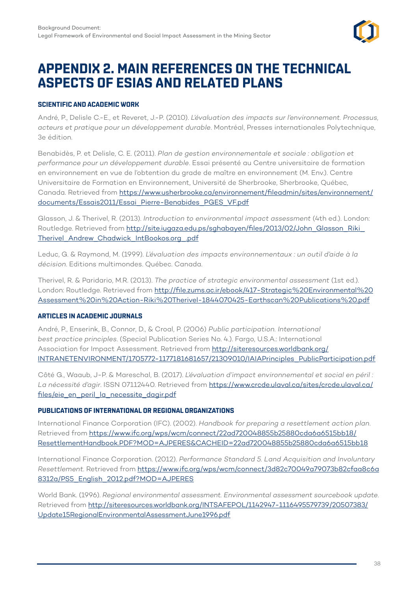

# <span id="page-42-0"></span>**APPENDIX 2. MAIN REFERENCES ON THE TECHNICAL ASPECTS OF ESIAS AND RELATED PLANS**

#### **SCIENTIFIC AND ACADEMIC WORK**

André, P., Delisle C.-E., et Reveret, J.-P. (2010). *L'évaluation des impacts sur l'environnement. Processus, acteurs et pratique pour un développement durable*. Montréal, Presses internationales Polytechnique, 3e édition.

Benabidès, P. et Delisle, C. E. (2011). *Plan de gestion environnementale et sociale : obligation et performance pour un développement durable*. Essai présenté au Centre universitaire de formation en environnement en vue de l'obtention du grade de maître en environnement (M. Env.). Centre Universitaire de Formation en Environnement, Université de Sherbrooke, Sherbrooke, Québec, Canada. Retrieved from [https://www.usherbrooke.ca/environnement/fileadmin/sites/environnement/](https://www.usherbrooke.ca/environnement/fileadmin/sites/environnement/documents/Essais2011/Essai_Pierre-Benabides_PGES_VF.pdf) [documents/Essais2011/Essai\\_Pierre-Benabides\\_PGES\\_VF.pdf](https://www.usherbrooke.ca/environnement/fileadmin/sites/environnement/documents/Essais2011/Essai_Pierre-Benabides_PGES_VF.pdf)

Glasson, J. & Therivel, R. (2013). *Introduction to environmental impact assessment* (4th ed.). London: Routledge. Retrieved from [http://site.iugaza.edu.ps/sghabayen/files/2013/02/John\\_Glasson\\_Riki\\_](http://site.iugaza.edu.ps/sghabayen/files/2013/02/John_Glasson_Riki_Therivel_Andrew_Chadwick_IntBookos.org_.pdf) [Therivel\\_Andrew\\_Chadwick\\_IntBookos.org\\_.pdf](http://site.iugaza.edu.ps/sghabayen/files/2013/02/John_Glasson_Riki_Therivel_Andrew_Chadwick_IntBookos.org_.pdf)

Leduc, G. & Raymond, M. (1999). *L'évaluation des impacts environnementaux : un outil d'aide à la décision*. Editions multimondes. Québec. Canada.

Therivel, R. & Paridario, M.R. (2013). *The practice of strategic environmental assessment* (1st ed.). London: Routledge. Retrieved from [http://file.zums.ac.ir/ebook/417-Strategic%20Environmental%20](http://file.zums.ac.ir/ebook/417-Strategic%20Environmental%20Assessment%20in%20Action-Riki%20Therivel-1844070425-Earthscan%20Publications%20.pdf) [Assessment%20in%20Action-Riki%20Therivel-1844070425-Earthscan%20Publications%20.pdf](http://file.zums.ac.ir/ebook/417-Strategic%20Environmental%20Assessment%20in%20Action-Riki%20Therivel-1844070425-Earthscan%20Publications%20.pdf)

#### **ARTICLES IN ACADEMIC JOURNALS**

André, P., Enserink, B., Connor, D., & Croal, P. (2006) *Public participation. International best practice principles*. (Special Publication Series No. 4.). Fargo, U.S.A.: International Association for Impact Assessment. Retrieved from [http://siteresources.worldbank.org/](http://siteresources.worldbank.org/INTRANETENVIRONMENT/1705772-1177181681657/21309010/IAIAPrinciples_PublicParticipation.pdf) [INTRANETENVIRONMENT/1705772-1177181681657/21309010/IAIAPrinciples\\_PublicParticipation.pdf](http://siteresources.worldbank.org/INTRANETENVIRONMENT/1705772-1177181681657/21309010/IAIAPrinciples_PublicParticipation.pdf)

Côté G., Waaub, J-P. & Mareschal, B. (2017). *L'évaluation d'impact environnemental et social en péril : La nécessité d'agir*. ISSN 07112440. Retrieved from [https://www.crcde.ulaval.ca/sites/crcde.ulaval.ca/](https://www.crcde.ulaval.ca/sites/crcde.ulaval.ca/files/eie_en_peril_la_necessite_dagir.pdf) files/eie en peril la necessite dagir.pdf

#### **PUBLICATIONS OF INTERNATIONAL OR REGIONAL ORGANIZATIONS**

International Finance Corporation (IFC). (2002). *Handbook for preparing a resettlement action plan*. Retrieved from [https://www.ifc.org/wps/wcm/connect/22ad720048855b25880cda6a6515bb18/](https://www.ifc.org/wps/wcm/connect/22ad720048855b25880cda6a6515bb18/ResettlementHandbook.PDF?MOD=AJPERES&CACHEID=22ad720048855b25880cda6a6515bb18) [ResettlementHandbook.PDF?MOD=AJPERES&CACHEID=22ad720048855b25880cda6a6515bb18](https://www.ifc.org/wps/wcm/connect/22ad720048855b25880cda6a6515bb18/ResettlementHandbook.PDF?MOD=AJPERES&CACHEID=22ad720048855b25880cda6a6515bb18)

International Finance Corporation. (2012). *Performance Standard 5. Land Acquisition and Involuntary Resettlement*. Retrieved from [https://www.ifc.org/wps/wcm/connect/3d82c70049a79073b82cfaa8c6a](https://www.ifc.org/wps/wcm/connect/3d82c70049a79073b82cfaa8c6a8312a/PS5_English_2012.pdf?MOD=AJPERES) [8312a/PS5\\_English\\_2012.pdf?MOD=AJPERES](https://www.ifc.org/wps/wcm/connect/3d82c70049a79073b82cfaa8c6a8312a/PS5_English_2012.pdf?MOD=AJPERES)

World Bank. (1996). *Regional environmental assessment. Environmental assessment sourcebook update*. Retrieved from [http://siteresources.worldbank.org/INTSAFEPOL/1142947-1116495579739/20507383/](http://siteresources.worldbank.org/INTSAFEPOL/1142947-1116495579739/20507383/Update15RegionalEnvironmentalAssessmentJune1996.pdf) [Update15RegionalEnvironmentalAssessmentJune1996.pdf](http://siteresources.worldbank.org/INTSAFEPOL/1142947-1116495579739/20507383/Update15RegionalEnvironmentalAssessmentJune1996.pdf)